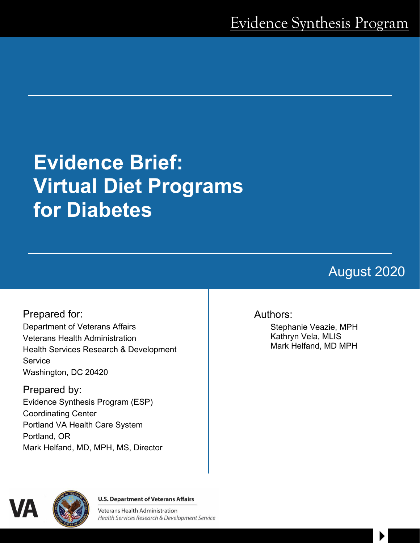# **Evidence Brief: Virtual Diet Programs for Diabetes**

# August 2020

 $\blacktriangleright$ 

Prepared for: Department of Veterans Affairs Veterans Health Administration Health Services Research & Development **Service** Washington, DC 20420

Prepared by: Evidence Synthesis Program (ESP) Coordinating Center Portland VA Health Care System Portland, OR Mark Helfand, MD, MPH, MS, Director

#### Authors:

Stephanie Veazie, MPH Kathryn Vela, MLIS Mark Helfand, MD MPH



**U.S. Department of Veterans Affairs** 

**Veterans Health Administration** Health Services Research & Development Service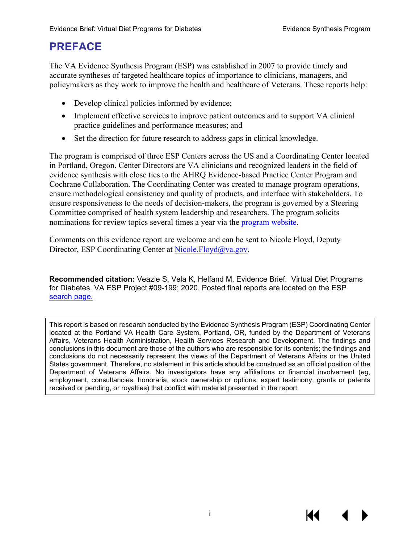# **PREFACE**

The VA Evidence Synthesis Program (ESP) was established in 2007 to provide timely and accurate syntheses of targeted healthcare topics of importance to clinicians, managers, and policymakers as they work to improve the health and healthcare of Veterans. These reports help:

- Develop clinical policies informed by evidence;
- Implement effective services to improve patient outcomes and to support VA clinical practice guidelines and performance measures; and
- Set the direction for future research to address gaps in clinical knowledge.

The program is comprised of three ESP Centers across the US and a Coordinating Center located in Portland, Oregon. Center Directors are VA clinicians and recognized leaders in the field of evidence synthesis with close ties to the AHRQ Evidence-based Practice Center Program and Cochrane Collaboration. The Coordinating Center was created to manage program operations, ensure methodological consistency and quality of products, and interface with stakeholders. To ensure responsiveness to the needs of decision-makers, the program is governed by a Steering Committee comprised of health system leadership and researchers. The program solicits nominations for review topics several times a year via the [program website.](https://www.hsrd.research.va.gov/publications/esp/TopicNomination.cfm)

Comments on this evidence report are welcome and can be sent to Nicole Floyd, Deputy Director, ESP Coordinating Center at [Nicole.Floyd@va.gov.](mailto:Nicole.Floyd@va.gov)

**Recommended citation:** Veazie S, Vela K, Helfand M. Evidence Brief: Virtual Diet Programs for Diabetes. VA ESP Project #09-199; 2020. Posted final reports are located on the ESP [search page.](https://www.hsrd.research.va.gov/publications/esp/reports.cfm)

This report is based on research conducted by the Evidence Synthesis Program (ESP) Coordinating Center located at the Portland VA Health Care System, Portland, OR, funded by the Department of Veterans Affairs, Veterans Health Administration, Health Services Research and Development. The findings and conclusions in this document are those of the authors who are responsible for its contents; the findings and conclusions do not necessarily represent the views of the Department of Veterans Affairs or the United States government. Therefore, no statement in this article should be construed as an official position of the Department of Veterans Affairs. No investigators have any affiliations or financial involvement (*eg*, employment, consultancies, honoraria, stock ownership or options, expert testimony, grants or patents received or pending, or royalties) that conflict with material presented in the report.

К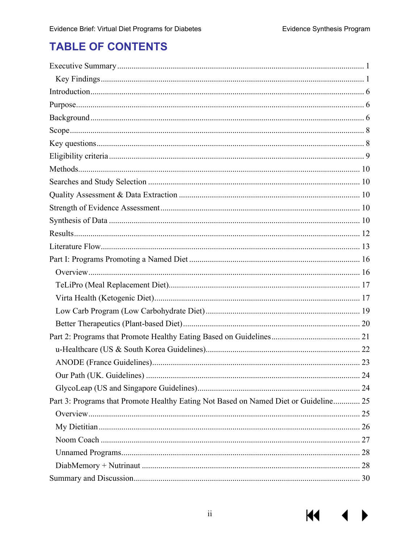$M \rightarrow$ 

# **TABLE OF CONTENTS**

| Part 3: Programs that Promote Healthy Eating Not Based on Named Diet or Guideline 25 |  |
|--------------------------------------------------------------------------------------|--|
|                                                                                      |  |
|                                                                                      |  |
|                                                                                      |  |
|                                                                                      |  |
|                                                                                      |  |
|                                                                                      |  |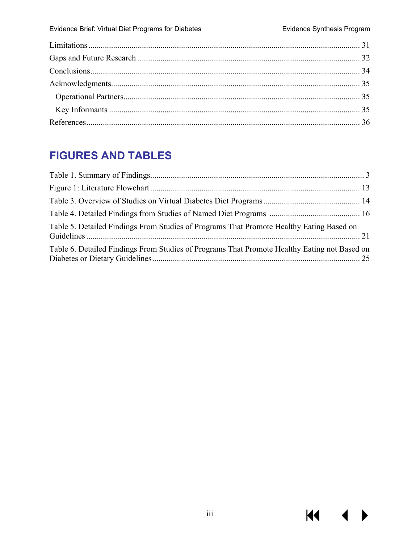$M \rightarrow$ 

# **FIGURES AND TABLES**

| Table 5. Detailed Findings From Studies of Programs That Promote Healthy Eating Based on     |  |
|----------------------------------------------------------------------------------------------|--|
| Table 6. Detailed Findings From Studies of Programs That Promote Healthy Eating not Based on |  |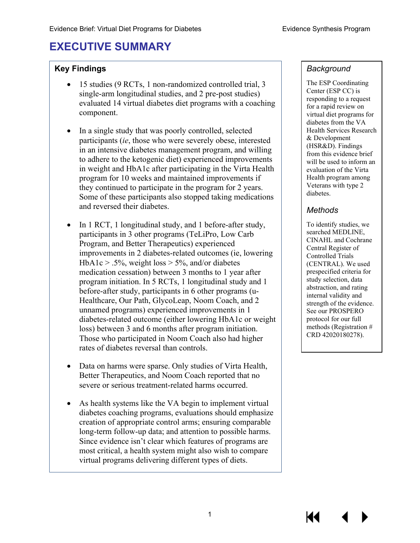# <span id="page-4-0"></span>**EXECUTIVE SUMMARY**

#### **Key Findings**

- 15 studies (9 RCTs, 1 non-randomized controlled trial, 3 single-arm longitudinal studies, and 2 pre-post studies) evaluated 14 virtual diabetes diet programs with a coaching component.
- In a single study that was poorly controlled, selected participants (*ie*, those who were severely obese, interested in an intensive diabetes management program, and willing to adhere to the ketogenic diet) experienced improvements in weight and HbA1c after participating in the Virta Health program for 10 weeks and maintained improvements if they continued to participate in the program for 2 years. Some of these participants also stopped taking medications and reversed their diabetes.
- In 1 RCT, 1 longitudinal study, and 1 before-after study, participants in 3 other programs (TeLiPro, Low Carb Program, and Better Therapeutics) experienced improvements in 2 diabetes-related outcomes (ie, lowering  $HbA1c > .5\%$ , weight loss  $> 5\%$ , and/or diabetes medication cessation) between 3 months to 1 year after program initiation. In 5 RCTs, 1 longitudinal study and 1 before-after study, participants in 6 other programs (u-Healthcare, Our Path, GlycoLeap, Noom Coach, and 2 unnamed programs) experienced improvements in 1 diabetes-related outcome (either lowering HbA1c or weight loss) between 3 and 6 months after program initiation. Those who participated in Noom Coach also had higher rates of diabetes reversal than controls.
- Data on harms were sparse. Only studies of Virta Health, Better Therapeutics, and Noom Coach reported that no severe or serious treatment-related harms occurred.
- As health systems like the VA begin to implement virtual diabetes coaching programs, evaluations should emphasize creation of appropriate control arms; ensuring comparable long-term follow-up data; and attention to possible harms. Since evidence isn't clear which features of programs are most critical, a health system might also wish to compare virtual programs delivering different types of diets.

#### *Background*

The ESP Coordinating Center (ESP CC) is responding to a request for a rapid review on virtual diet programs for diabetes from the VA Health Services Research & Development (HSR&D). Findings from this evidence brief will be used to inform an evaluation of the Virta Health program among Veterans with type 2 diabetes.

#### *Methods*

To identify studies, we searched MEDLINE, CINAHL and Cochrane Central Register of Controlled Trials (CENTRAL). We used prespecified criteria for study selection, data abstraction, and rating internal validity and strength of the evidence. See our PROSPERO protocol for our full methods (Registration # CRD 42020180278).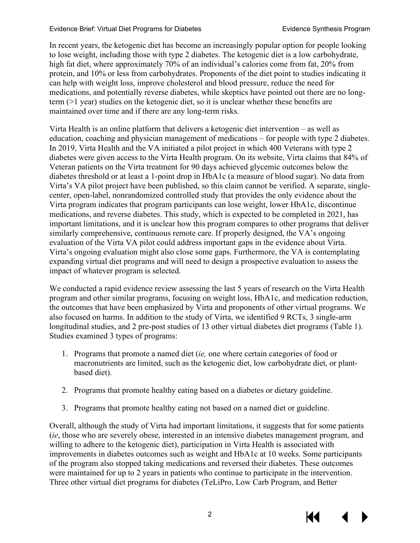In recent years, the ketogenic diet has become an increasingly popular option for people looking to lose weight, including those with type 2 diabetes. The ketogenic diet is a low carbohydrate, high fat diet, where approximately 70% of an individual's calories come from fat, 20% from protein, and 10% or less from carbohydrates. Proponents of the diet point to studies indicating it can help with weight loss, improve cholesterol and blood pressure, reduce the need for medications, and potentially reverse diabetes, while skeptics have pointed out there are no longterm (>1 year) studies on the ketogenic diet, so it is unclear whether these benefits are maintained over time and if there are any long-term risks.

Virta Health is an online platform that delivers a ketogenic diet intervention – as well as education, coaching and physician management of medications – for people with type 2 diabetes. In 2019, Virta Health and the VA initiated a pilot project in which 400 Veterans with type 2 diabetes were given access to the Virta Health program. On its website, Virta claims that 84% of Veteran patients on the Virta treatment for 90 days achieved glycemic outcomes below the diabetes threshold or at least a 1-point drop in HbA1c (a measure of blood sugar). No data from Virta's VA pilot project have been published, so this claim cannot be verified. A separate, singlecenter, open-label, nonrandomized controlled study that provides the only evidence about the Virta program indicates that program participants can lose weight, lower HbA1c, discontinue medications, and reverse diabetes. This study, which is expected to be completed in 2021, has important limitations, and it is unclear how this program compares to other programs that deliver similarly comprehensive, continuous remote care. If properly designed, the VA's ongoing evaluation of the Virta VA pilot could address important gaps in the evidence about Virta. Virta's ongoing evaluation might also close some gaps. Furthermore, the VA is contemplating expanding virtual diet programs and will need to design a prospective evaluation to assess the impact of whatever program is selected.

We conducted a rapid evidence review assessing the last 5 years of research on the Virta Health program and other similar programs, focusing on weight loss, HbA1c, and medication reduction, the outcomes that have been emphasized by Virta and proponents of other virtual programs. We also focused on harms. In addition to the study of Virta, we identified 9 RCTs, 3 single-arm longitudinal studies, and 2 pre-post studies of 13 other virtual diabetes diet programs (Table 1). Studies examined 3 types of programs:

- 1. Programs that promote a named diet (*ie,* one where certain categories of food or macronutrients are limited, such as the ketogenic diet, low carbohydrate diet, or plantbased diet).
- 2. Programs that promote healthy eating based on a diabetes or dietary guideline.
- 3. Programs that promote healthy eating not based on a named diet or guideline.

Overall, although the study of Virta had important limitations, it suggests that for some patients (*ie*, those who are severely obese, interested in an intensive diabetes management program, and willing to adhere to the ketogenic diet), participation in Virta Health is associated with improvements in diabetes outcomes such as weight and HbA1c at 10 weeks. Some participants of the program also stopped taking medications and reversed their diabetes. These outcomes were maintained for up to 2 years in patients who continue to participate in the intervention. Three other virtual diet programs for diabetes (TeLiPro, Low Carb Program, and Better

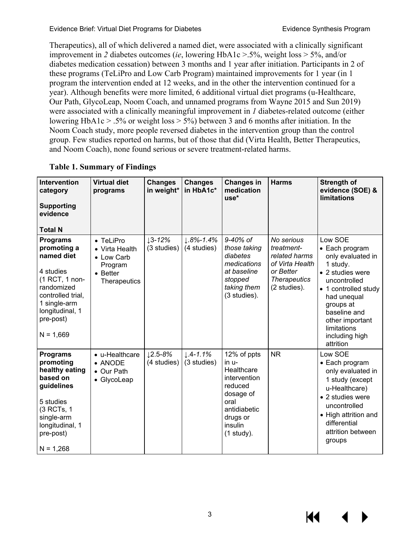Therapeutics), all of which delivered a named diet, were associated with a clinically significant improvement in *2* diabetes outcomes (*ie*, lowering HbA1c >.5%, weight loss > 5%, and/or diabetes medication cessation) between 3 months and 1 year after initiation. Participants in 2 of these programs (TeLiPro and Low Carb Program) maintained improvements for 1 year (in 1 program the intervention ended at 12 weeks, and in the other the intervention continued for a year). Although benefits were more limited, 6 additional virtual diet programs (u-Healthcare, Our Path, GlycoLeap, Noom Coach, and unnamed programs from Wayne 2015 and Sun 2019) were associated with a clinically meaningful improvement in *1* diabetes-related outcome (either lowering HbA1c > .5% or weight loss > 5%) between 3 and 6 months after initiation. In the Noom Coach study, more people reversed diabetes in the intervention group than the control group. Few studies reported on harms, but of those that did (Virta Health, Better Therapeutics, and Noom Coach), none found serious or severe treatment-related harms.

| <b>Intervention</b><br>category<br><b>Supporting</b><br>evidence<br><b>Total N</b>                                                                                            | <b>Virtual diet</b><br>programs                                                          | <b>Changes</b><br>in weight* | <b>Changes</b><br>in HbA1c*         | <b>Changes in</b><br>medication<br>use*                                                                                                   | <b>Harms</b>                                                                                                     | <b>Strength of</b><br>evidence (SOE) &<br><b>limitations</b>                                                                                                                                                                        |
|-------------------------------------------------------------------------------------------------------------------------------------------------------------------------------|------------------------------------------------------------------------------------------|------------------------------|-------------------------------------|-------------------------------------------------------------------------------------------------------------------------------------------|------------------------------------------------------------------------------------------------------------------|-------------------------------------------------------------------------------------------------------------------------------------------------------------------------------------------------------------------------------------|
| <b>Programs</b><br>promoting a<br>named diet<br>4 studies<br>(1 RCT, 1 non-<br>randomized<br>controlled trial,<br>1 single-arm<br>longitudinal, 1<br>pre-post)<br>$N = 1,669$ | • TeLiPro<br>• Virta Health<br>• Low Carb<br>Program<br>$\bullet$ Better<br>Therapeutics | $13 - 12%$<br>(3 studies)    | $1.8\% - 1.4\%$<br>(4 studies)      | 9-40% of<br>those taking<br>diabetes<br>medications<br>at baseline<br>stopped<br>taking them<br>(3 studies).                              | No serious<br>treatment-<br>related harms<br>of Virta Health<br>or Better<br><b>Therapeutics</b><br>(2 studies). | Low SOE<br>• Each program<br>only evaluated in<br>1 study.<br>• 2 studies were<br>uncontrolled<br>• 1 controlled study<br>had unequal<br>groups at<br>baseline and<br>other important<br>limitations<br>including high<br>attrition |
| <b>Programs</b><br>promoting<br>healthy eating<br>based on<br>guidelines<br>5 studies<br>(3 RCTs, 1<br>single-arm<br>longitudinal, 1<br>pre-post)<br>$N = 1,268$              | • u-Healthcare<br>$\bullet$ ANODE<br>• Our Path<br>• GlycoLeap                           | $12.5 - 8%$<br>(4 studies)   | $\downarrow$ .4-1.1%<br>(3 studies) | 12% of ppts<br>in u-<br>Healthcare<br>intervention<br>reduced<br>dosage of<br>oral<br>antidiabetic<br>drugs or<br>insulin<br>$(1$ study). | <b>NR</b>                                                                                                        | Low SOE<br>• Each program<br>only evaluated in<br>1 study (except<br>u-Healthcare)<br>• 2 studies were<br>uncontrolled<br>• High attrition and<br>differential<br>attrition between<br>groups                                       |

#### <span id="page-6-0"></span>**Table 1. Summary of Findings**

К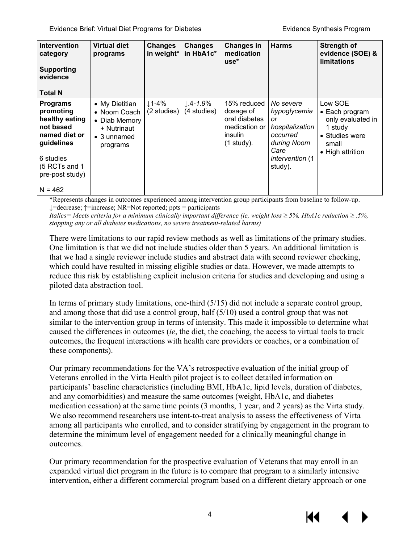| <b>Intervention</b><br>category<br><b>Supporting</b><br>evidence<br><b>Total N</b>                                                                       | Virtual diet<br>programs                                                                          | <b>Changes</b><br>in weight* | Changes<br>in HbA1c*                | <b>Changes in</b><br>medication<br>use*                                               | <b>Harms</b>                                                                                                               | <b>Strength of</b><br>evidence (SOE) &<br><b>limitations</b>                                             |
|----------------------------------------------------------------------------------------------------------------------------------------------------------|---------------------------------------------------------------------------------------------------|------------------------------|-------------------------------------|---------------------------------------------------------------------------------------|----------------------------------------------------------------------------------------------------------------------------|----------------------------------------------------------------------------------------------------------|
| <b>Programs</b><br>promoting<br>healthy eating<br>not based<br>named diet or<br>guidelines<br>6 studies<br>(5 RCTs and 1<br>pre-post study)<br>$N = 462$ | • My Dietitian<br>• Noom Coach<br>• Diab Memory<br>+ Nutrinaut<br>$\bullet$ 3 unnamed<br>programs | ↓1-4%<br>(2 studies)         | $\downarrow$ .4-1.9%<br>(4 studies) | 15% reduced<br>dosage of<br>oral diabetes<br>medication or<br>insulin<br>$(1$ study). | No severe<br>hypoglycemia<br>or<br>hospitalization<br>occurred<br>during Noom<br>Care<br><i>intervention</i> (1<br>study). | Low SOE<br>• Each program<br>only evaluated in<br>1 study<br>• Studies were<br>small<br>• High attrition |

\*Represents changes in outcomes experienced among intervention group participants from baseline to follow-up. ↓=decrease; ↑=increase; NR=Not reported; ppts = participants

*Italics= Meets criteria for a minimum clinically important difference (ie, weight loss*  $\geq$  *5%, HbA1c reduction*  $\geq$  *.5%, stopping any or all diabetes medications, no severe treatment-related harms)* 

There were limitations to our rapid review methods as well as limitations of the primary studies. One limitation is that we did not include studies older than 5 years. An additional limitation is that we had a single reviewer include studies and abstract data with second reviewer checking, which could have resulted in missing eligible studies or data. However, we made attempts to reduce this risk by establishing explicit inclusion criteria for studies and developing and using a piloted data abstraction tool.

In terms of primary study limitations, one-third (5/15) did not include a separate control group, and among those that did use a control group, half (5/10) used a control group that was not similar to the intervention group in terms of intensity. This made it impossible to determine what caused the differences in outcomes (*ie*, the diet, the coaching, the access to virtual tools to track outcomes, the frequent interactions with health care providers or coaches, or a combination of these components).

Our primary recommendations for the VA's retrospective evaluation of the initial group of Veterans enrolled in the Virta Health pilot project is to collect detailed information on participants' baseline characteristics (including BMI, HbA1c, lipid levels, duration of diabetes, and any comorbidities) and measure the same outcomes (weight, HbA1c, and diabetes medication cessation) at the same time points (3 months, 1 year, and 2 years) as the Virta study. We also recommend researchers use intent-to-treat analysis to assess the effectiveness of Virta among all participants who enrolled, and to consider stratifying by engagement in the program to determine the minimum level of engagement needed for a clinically meaningful change in outcomes.

Our primary recommendation for the prospective evaluation of Veterans that may enroll in an expanded virtual diet program in the future is to compare that program to a similarly intensive intervention, either a different commercial program based on a different dietary approach or one

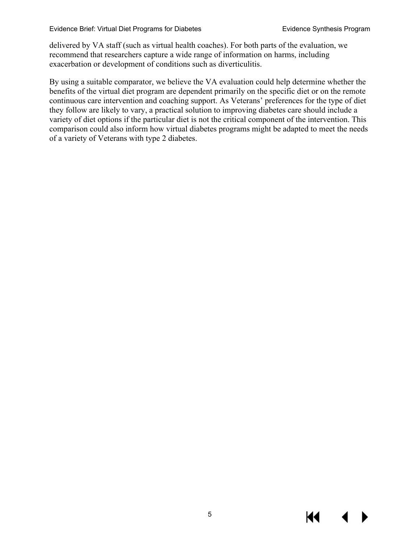delivered by VA staff (such as virtual health coaches). For both parts of the evaluation, we recommend that researchers capture a wide range of information on harms, including exacerbation or development of conditions such as diverticulitis.

By using a suitable comparator, we believe the VA evaluation could help determine whether the benefits of the virtual diet program are dependent primarily on the specific diet or on the remote continuous care intervention and coaching support. As Veterans' preferences for the type of diet they follow are likely to vary, a practical solution to improving diabetes care should include a variety of diet options if the particular diet is not the critical component of the intervention. This comparison could also inform how virtual diabetes programs might be adapted to meet the needs of a variety of Veterans with type 2 diabetes.

К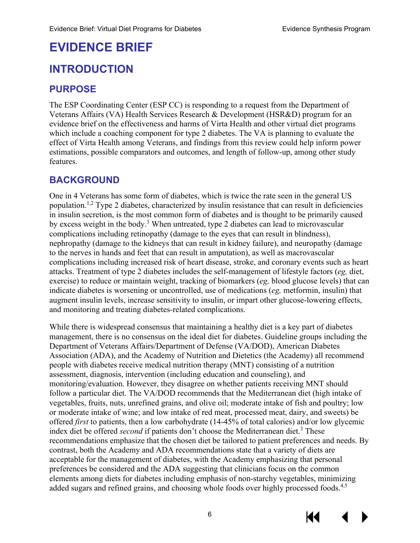# **EVIDENCE BRIEF**

# <span id="page-9-0"></span>**INTRODUCTION**

# <span id="page-9-1"></span>**PURPOSE**

The ESP Coordinating Center (ESP CC) is responding to a request from the Department of Veterans Affairs (VA) Health Services Research & Development (HSR&D) program for an evidence brief on the effectiveness and harms of Virta Health and other virtual diet programs which include a coaching component for type 2 diabetes. The VA is planning to evaluate the effect of Virta Health among Veterans, and findings from this review could help inform power estimations, possible comparators and outcomes, and length of follow-up, among other study features.

### <span id="page-9-2"></span>**BACKGROUND**

One in 4 Veterans has some form of diabetes, which is twice the rate seen in the general US population[.1,](#page-39-1)[2](#page-39-2) Type 2 diabetes, characterized by insulin resistance that can result in deficiencies in insulin secretion, is the most common form of diabetes and is thought to be primarily caused by excess weight in the body.<sup>[3](#page-39-3)</sup> When untreated, type 2 diabetes can lead to microvascular complications including retinopathy (damage to the eyes that can result in blindness), nephropathy (damage to the kidneys that can result in kidney failure), and neuropathy (damage to the nerves in hands and feet that can result in amputation), as well as macrovascular complications including increased risk of heart disease, stroke, and coronary events such as heart attacks. Treatment of type 2 diabetes includes the self-management of lifestyle factors (*eg,* diet, exercise) to reduce or maintain weight, tracking of biomarkers (*eg,* blood glucose levels) that can indicate diabetes is worsening or uncontrolled, use of medications (*eg,* metformin, insulin) that augment insulin levels, increase sensitivity to insulin, or impart other glucose-lowering effects, and monitoring and treating diabetes-related complications.

While there is widespread consensus that maintaining a healthy diet is a key part of diabetes management, there is no consensus on the ideal diet for diabetes. Guideline groups including the Department of Veterans Affairs/Department of Defense (VA/DOD), American Diabetes Association (ADA), and the Academy of Nutrition and Dietetics (the Academy) all recommend people with diabetes receive medical nutrition therapy (MNT) consisting of a nutrition assessment, diagnosis, intervention (including education and counseling), and monitoring/evaluation. However, they disagree on whether patients receiving MNT should follow a particular diet. The VA/DOD recommends that the Mediterranean diet (high intake of vegetables, fruits, nuts, unrefined grains, and olive oil; moderate intake of fish and poultry; low or moderate intake of wine; and low intake of red meat, processed meat, dairy, and sweets) be offered *first* to patients, then a low carbohydrate (14-45% of total calories) and/or low glycemic index diet be offered *second* if patients don't choose the Mediterranean diet.<sup>3</sup> These recommendations emphasize that the chosen diet be tailored to patient preferences and needs. By contrast, both the Academy and ADA recommendations state that a variety of diets are acceptable for the management of diabetes, with the Academy emphasizing that personal preferences be considered and the ADA suggesting that clinicians focus on the common elements among diets for diabetes including emphasis of non-starchy vegetables, minimizing added sugars and refined grains, and choosing whole foods over highly processed foods.<sup>[4,](#page-39-4)[5](#page-39-5)</sup>

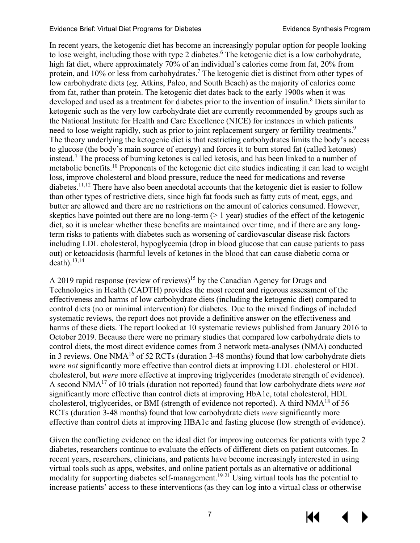In recent years, the ketogenic diet has become an increasingly popular option for people looking to lose weight, including those with type 2 diabetes.<sup>[6](#page-39-6)</sup> The ketogenic diet is a low carbohydrate, high fat diet, where approximately 70% of an individual's calories come from fat, 20% from protein, and 10% or less from carbohydrates[.7](#page-39-7) The ketogenic diet is distinct from other types of low carbohydrate diets (*eg,* Atkins, Paleo, and South Beach) as the majority of calories come from fat, rather than protein. The ketogenic diet dates back to the early 1900s when it was developed and used as a treatment for diabetes prior to the invention of insulin. [8](#page-39-8) Diets similar to ketogenic such as the very low carbohydrate diet are currently recommended by groups such as the National Institute for Health and Care Excellence (NICE) for instances in which patients need to lose weight rapidly, such as prior to joint replacement surgery or fertility treatments.<sup>9</sup> The theory underlying the ketogenic diet is that restricting carbohydrates limits the body's access to glucose (the body's main source of energy) and forces it to burn stored fat (called ketones) instead.[7](#page-39-7) The process of burning ketones is called ketosis, and has been linked to a number of metabolic benefits.<sup>[10](#page-39-10)</sup> Proponents of the ketogenic diet cite studies indicating it can lead to weight loss, improve cholesterol and blood pressure, reduce the need for medications and reverse diabetes.<sup>11,[12](#page-39-12)</sup> There have also been anecdotal accounts that the ketogenic diet is easier to follow than other types of restrictive diets, since high fat foods such as fatty cuts of meat, eggs, and butter are allowed and there are no restrictions on the amount of calories consumed. However, skeptics have pointed out there are no long-term  $(> 1 \text{ year})$  studies of the effect of the ketogenic diet, so it is unclear whether these benefits are maintained over time, and if there are any longterm risks to patients with diabetes such as worsening of cardiovascular disease risk factors including LDL cholesterol, hypoglycemia (drop in blood glucose that can cause patients to pass out) or ketoacidosis (harmful levels of ketones in the blood that can cause diabetic coma or  $death$ ).<sup>13[,14](#page-39-14)</sup>

A 2019 rapid response (review of reviews)<sup>[15](#page-40-0)</sup> by the Canadian Agency for Drugs and Technologies in Health (CADTH) provides the most recent and rigorous assessment of the effectiveness and harms of low carbohydrate diets (including the ketogenic diet) compared to control diets (no or minimal intervention) for diabetes. Due to the mixed findings of included systematic reviews, the report does not provide a definitive answer on the effectiveness and harms of these diets. The report looked at 10 systematic reviews published from January 2016 to October 2019. Because there were no primary studies that compared low carbohydrate diets to control diets, the most direct evidence comes from 3 network meta-analyses (NMA) conducted in 3 reviews. One NMA<sup>16</sup> of 52 RCTs (duration 3-48 months) found that low carbohydrate diets *were not* significantly more effective than control diets at improving LDL cholesterol or HDL cholesterol, but *were* more effective at improving triglycerides (moderate strength of evidence). A second NM[A17](#page-40-2) of 10 trials (duration not reported) found that low carbohydrate diets *were not* significantly more effective than control diets at improving HbA1c, total cholesterol, HDL cholesterol, triglycerides, or BMI (strength of evidence not reported). A third  $NMA^{18}$  of 56 RCTs (duration 3-48 months) found that low carbohydrate diets *were* significantly more effective than control diets at improving HBA1c and fasting glucose (low strength of evidence).

Given the conflicting evidence on the ideal diet for improving outcomes for patients with type 2 diabetes, researchers continue to evaluate the effects of different diets on patient outcomes. In recent years, researchers, clinicians, and patients have become increasingly interested in using virtual tools such as apps, websites, and online patient portals as an alternative or additional modality for supporting diabetes self-management.<sup>[19-21](#page-40-4)</sup> Using virtual tools has the potential to increase patients' access to these interventions (as they can log into a virtual class or otherwise



KK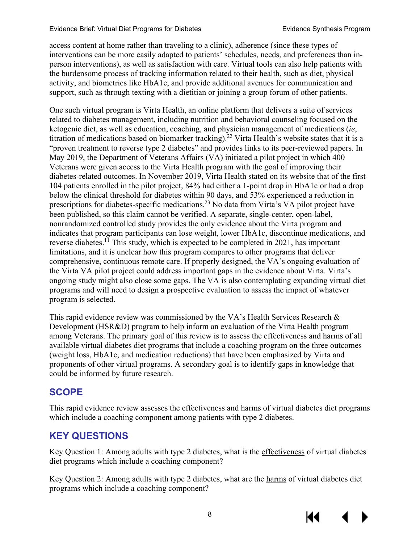access content at home rather than traveling to a clinic), adherence (since these types of interventions can be more easily adapted to patients' schedules, needs, and preferences than inperson interventions), as well as satisfaction with care. Virtual tools can also help patients with the burdensome process of tracking information related to their health, such as diet, physical activity, and biometrics like HbA1c, and provide additional avenues for communication and support, such as through texting with a dietitian or joining a group forum of other patients.

One such virtual program is Virta Health, an online platform that delivers a suite of services related to diabetes management, including nutrition and behavioral counseling focused on the ketogenic diet, as well as education, coaching, and physician management of medications (*ie*, titration of medications based on biomarker tracking). [22](#page-40-5) Virta Health's website states that it is a "proven treatment to reverse type 2 diabetes" and provides links to its peer-reviewed papers. In May 2019, the Department of Veterans Affairs (VA) initiated a pilot project in which 400 Veterans were given access to the Virta Health program with the goal of improving their diabetes-related outcomes. In November 2019, Virta Health stated on its website that of the first 104 patients enrolled in the pilot project, 84% had either a 1-point drop in HbA1c or had a drop below the clinical threshold for diabetes within 90 days, and 53% experienced a reduction in prescriptions for diabetes-specific medications[.23](#page-40-6) No data from Virta's VA pilot project have been published, so this claim cannot be verified. A separate, single-center, open-label, nonrandomized controlled study provides the only evidence about the Virta program and indicates that program participants can lose weight, lower HbA1c, discontinue medications, and reverse diabetes.[11](#page-39-11) This study, which is expected to be completed in 2021, has important limitations, and it is unclear how this program compares to other programs that deliver comprehensive, continuous remote care. If properly designed, the VA's ongoing evaluation of the Virta VA pilot project could address important gaps in the evidence about Virta. Virta's ongoing study might also close some gaps. The VA is also contemplating expanding virtual diet programs and will need to design a prospective evaluation to assess the impact of whatever program is selected.

This rapid evidence review was commissioned by the VA's Health Services Research & Development (HSR&D) program to help inform an evaluation of the Virta Health program among Veterans. The primary goal of this review is to assess the effectiveness and harms of all available virtual diabetes diet programs that include a coaching program on the three outcomes (weight loss, HbA1c, and medication reductions) that have been emphasized by Virta and proponents of other virtual programs. A secondary goal is to identify gaps in knowledge that could be informed by future research.

# <span id="page-11-0"></span>**SCOPE**

This rapid evidence review assesses the effectiveness and harms of virtual diabetes diet programs which include a coaching component among patients with type 2 diabetes.

# <span id="page-11-1"></span>**KEY QUESTIONS**

Key Question 1: Among adults with type 2 diabetes, what is the effectiveness of virtual diabetes diet programs which include a coaching component?

Key Question 2: Among adults with type 2 diabetes, what are the harms of virtual diabetes diet programs which include a coaching component?



8

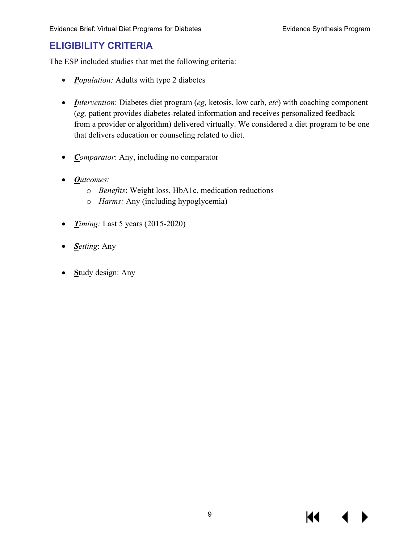# <span id="page-12-0"></span>**ELIGIBILITY CRITERIA**

The ESP included studies that met the following criteria:

- *Population:* Adults with type 2 diabetes
- *Intervention*: Diabetes diet program (*eg,* ketosis, low carb, *etc*) with coaching component (*eg,* patient provides diabetes-related information and receives personalized feedback from a provider or algorithm) delivered virtually. We considered a diet program to be one that delivers education or counseling related to diet.
- *Comparator*: Any, including no comparator
- *Outcomes:*
	- o *Benefits*: Weight loss, HbA1c, medication reductions
	- o *Harms:* Any (including hypoglycemia)
- *Timing:* Last 5 years (2015-2020)
- *Setting*: Any
- **S**tudy design: Any

К€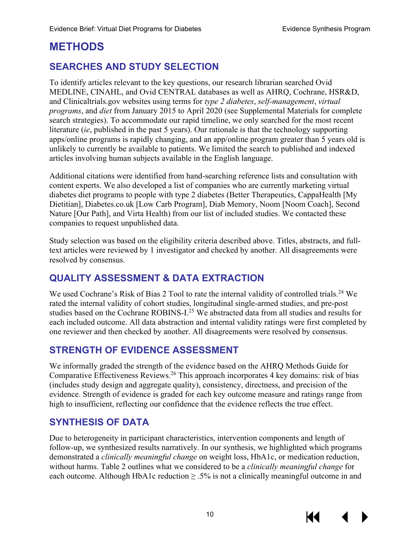# <span id="page-13-0"></span>**METHODS**

# <span id="page-13-1"></span>**SEARCHES AND STUDY SELECTION**

To identify articles relevant to the key questions, our research librarian searched Ovid MEDLINE, CINAHL, and Ovid CENTRAL databases as well as AHRQ, Cochrane, HSR&D, and Clinicaltrials.gov websites using terms for *type 2 diabetes*, *self-management*, *virtual programs*, and *diet* from January 2015 to April 2020 (see Supplemental Materials for complete search strategies). To accommodate our rapid timeline, we only searched for the most recent literature (*ie*, published in the past 5 years). Our rationale is that the technology supporting apps/online programs is rapidly changing, and an app/online program greater than 5 years old is unlikely to currently be available to patients. We limited the search to published and indexed articles involving human subjects available in the English language.

Additional citations were identified from hand-searching reference lists and consultation with content experts. We also developed a list of companies who are currently marketing virtual diabetes diet programs to people with type 2 diabetes (Better Therapeutics, CappaHealth [My Dietitian], Diabetes.co.uk [Low Carb Program], Diab Memory, Noom [Noom Coach], Second Nature [Our Path], and Virta Health) from our list of included studies. We contacted these companies to request unpublished data.

Study selection was based on the eligibility criteria described above. Titles, abstracts, and fulltext articles were reviewed by 1 investigator and checked by another. All disagreements were resolved by consensus.

# <span id="page-13-2"></span>**QUALITY ASSESSMENT & DATA EXTRACTION**

We used Cochrane's Risk of Bias 2 Tool to rate the internal validity of controlled trials.<sup>24</sup> We rated the internal validity of cohort studies, longitudinal single-armed studies, and pre-post studies based on the Cochrane ROBINS-I.<sup>25</sup> We abstracted data from all studies and results for each included outcome. All data abstraction and internal validity ratings were first completed by one reviewer and then checked by another. All disagreements were resolved by consensus.

#### <span id="page-13-3"></span>**STRENGTH OF EVIDENCE ASSESSMENT**

We informally graded the strength of the evidence based on the AHRQ Methods Guide for Comparative Effectiveness Reviews.[26](#page-40-9) This approach incorporates 4 key domains: risk of bias (includes study design and aggregate quality), consistency, directness, and precision of the evidence. Strength of evidence is graded for each key outcome measure and ratings range from high to insufficient, reflecting our confidence that the evidence reflects the true effect.

#### <span id="page-13-4"></span>**SYNTHESIS OF DATA**

Due to heterogeneity in participant characteristics, intervention components and length of follow-up, we synthesized results narratively. In our synthesis, we highlighted which programs demonstrated a *clinically meaningful change* on weight loss, HbA1c, or medication reduction, without harms. Table 2 outlines what we considered to be a *clinically meaningful change* for each outcome. Although HbA1c reduction  $\geq$  .5% is not a clinically meaningful outcome in and

KI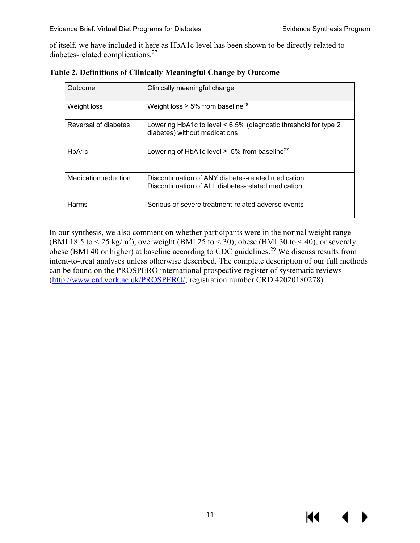of itself, we have included it here as HbA1c level has been shown to be directly related to diabetes-related complications[.27](#page-40-10) 

| Outcome              | Clinically meaningful change                                                                             |
|----------------------|----------------------------------------------------------------------------------------------------------|
| Weight loss          | Weight loss $\geq 5\%$ from baseline <sup>28</sup>                                                       |
| Reversal of diabetes | Lowering HbA1c to level $\leq 6.5\%$ (diagnostic threshold for type 2<br>diabetes) without medications   |
| HbA <sub>1</sub> c   | Lowering of HbA1c level $\geq$ .5% from baseline <sup>27</sup>                                           |
| Medication reduction | Discontinuation of ANY diabetes-related medication<br>Discontinuation of ALL diabetes-related medication |
| Harms                | Serious or severe treatment-related adverse events                                                       |

**Table 2. Definitions of Clinically Meaningful Change by Outcome**

In our synthesis, we also comment on whether participants were in the normal weight range (BMI 18.5 to  $\leq$  25 kg/m<sup>2</sup>), overweight (BMI 25 to  $\leq$  30), obese (BMI 30 to  $\leq$  40), or severely obese (BMI 40 or higher) at baseline according to CDC guidelines[.29](#page-40-12) We discuss results from intent-to-treat analyses unless otherwise described. The complete description of our full methods can be found on the PROSPERO international prospective register of systematic reviews [\(http://www.crd.york.ac.uk/PROSPERO/;](http://www.crd.york.ac.uk/PROSPERO/) registration number CRD 42020180278).

KI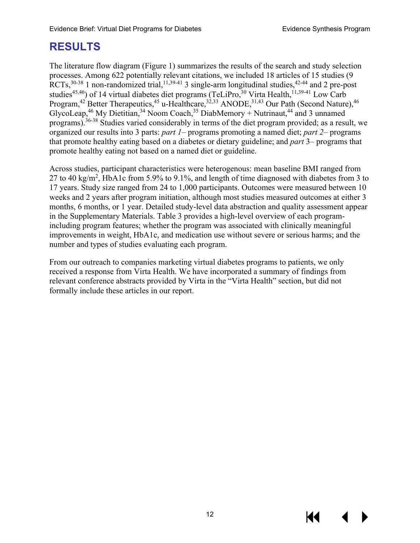# <span id="page-15-0"></span>**RESULTS**

The literature flow diagram (Figure 1) summarizes the results of the search and study selection processes. Among 622 potentially relevant citations, we included 18 articles of 15 studies (9 RCTs,  $30-38$  1 non-randomized trial,  $11,39-41$  $11,39-41$  3 single-arm longitudinal studies,  $42-44$  and 2 pre-post studies<sup>45,46</sup>) of 14 virtual diabetes diet programs (TeLiPro,  $30$  Virta Health,<sup>11[,39-41](#page-41-0)</sup> Low Carb Program,<sup>42</sup> Better Therapeutics,<sup>[45](#page-42-0)</sup> u-Healthcare,<sup>[32,](#page-41-2)[33](#page-41-3)</sup> ANODE,<sup>31,[43](#page-41-5)</sup> Our Path (Second Nature),<sup>46</sup> GlycoLeap,<sup>46</sup> My Dietitian,<sup>34</sup> Noom Coach,<sup>35</sup> DiabMemory + Nutrinaut,<sup>44</sup> and 3 unnamed programs).<sup>[36-38](#page-41-9)</sup> Studies varied considerably in terms of the diet program provided; as a result, we organized our results into 3 parts: *part 1*– programs promoting a named diet; *part 2*– programs that promote healthy eating based on a diabetes or dietary guideline; and *part* 3– programs that promote healthy eating not based on a named diet or guideline.

Across studies, participant characteristics were heterogenous: mean baseline BMI ranged from 27 to 40 kg/m<sup>2</sup>, HbA1c from 5.9% to 9.1%, and length of time diagnosed with diabetes from 3 to 17 years. Study size ranged from 24 to 1,000 participants. Outcomes were measured between 10 weeks and 2 years after program initiation, although most studies measured outcomes at either 3 months, 6 months, or 1 year. Detailed study-level data abstraction and quality assessment appear in the Supplementary Materials. Table 3 provides a high-level overview of each programincluding program features; whether the program was associated with clinically meaningful improvements in weight, HbA1c, and medication use without severe or serious harms; and the number and types of studies evaluating each program.

From our outreach to companies marketing virtual diabetes programs to patients, we only received a response from Virta Health. We have incorporated a summary of findings from relevant conference abstracts provided by Virta in the "Virta Health" section, but did not formally include these articles in our report.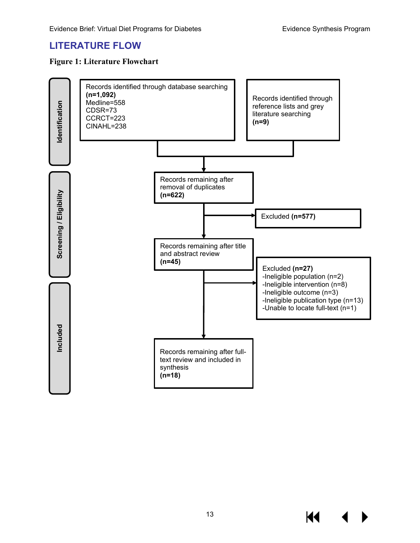#### <span id="page-16-0"></span>**LITERATURE FLOW**

#### <span id="page-16-1"></span>**Figure 1: Literature Flowchart**

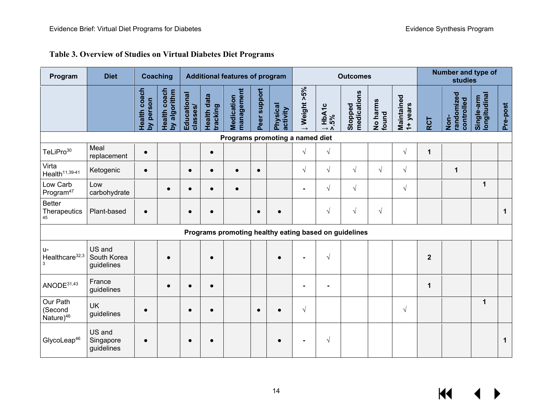<span id="page-17-0"></span>

| Program                                  | <b>Diet</b>                         | <b>Coaching</b>           |                              |                         | <b>Additional features of program</b> |                                                       |              | <b>Outcomes</b>      |             |                   |                        |                   | Number and type of<br><b>studies</b> |              |                                  |                            |             |
|------------------------------------------|-------------------------------------|---------------------------|------------------------------|-------------------------|---------------------------------------|-------------------------------------------------------|--------------|----------------------|-------------|-------------------|------------------------|-------------------|--------------------------------------|--------------|----------------------------------|----------------------------|-------------|
|                                          |                                     | Health coach<br>by person | Health coach<br>by algorithm | Educational<br>classes/ | <b>Health data</b><br>tracking        | management<br>Medication                              | Peer support | Physical<br>activity | ↓Weight >5% | $\frac{1}{2}$ .5% | Stopped<br>medications | No harms<br>found | Maintained<br>1+ years               | <b>RCT</b>   | randomized<br>controlled<br>Non- | Single-arm<br>Iongitudinal | Pre-post    |
|                                          |                                     |                           |                              |                         |                                       | Programs promoting a named diet                       |              |                      |             |                   |                        |                   |                                      |              |                                  |                            |             |
| TeLiPro <sup>30</sup>                    | Meal<br>replacement                 | $\bullet$                 |                              |                         | $\bullet$                             |                                                       |              |                      | $\sqrt{ }$  | $\sqrt{}$         |                        |                   | $\sqrt{ }$                           | $\mathbf 1$  |                                  |                            |             |
| Virta<br>$Health11,39-41$                | Ketogenic                           | $\bullet$                 |                              | $\bullet$               | $\bullet$                             | $\bullet$                                             | $\bullet$    |                      | $\sqrt{ }$  | $\sqrt{ }$        | $\sqrt{ }$             | $\sqrt{}$         | $\sqrt{}$                            |              | 1                                |                            |             |
| Low Carb<br>Program <sup>47</sup>        | Low<br>carbohydrate                 |                           | $\bullet$                    | $\bullet$               | $\bullet$                             | $\bullet$                                             |              |                      |             | $\sqrt{}$         | $\sqrt{ }$             |                   | $\sqrt{ }$                           |              |                                  | 1                          |             |
| <b>Better</b><br>Therapeutics<br>45      | Plant-based                         | $\bullet$                 |                              | $\bullet$               |                                       |                                                       | $\bullet$    |                      |             | $\sqrt{}$         | $\sqrt{ }$             | $\sqrt{}$         |                                      |              |                                  |                            | $\mathbf 1$ |
|                                          |                                     |                           |                              |                         |                                       | Programs promoting healthy eating based on guidelines |              |                      |             |                   |                        |                   |                                      |              |                                  |                            |             |
| $U -$<br>Healthcare <sup>32,3</sup><br>3 | US and<br>South Korea<br>guidelines |                           |                              |                         |                                       |                                                       |              | $\bullet$            |             | $\sqrt{ }$        |                        |                   |                                      | $\mathbf{2}$ |                                  |                            |             |
| ANODE <sup>31,43</sup>                   | France<br>guidelines                |                           |                              | $\bullet$               |                                       |                                                       |              |                      |             | $\blacksquare$    |                        |                   |                                      | $\mathbf 1$  |                                  |                            |             |
| Our Path<br>(Second<br>Nature $46$       | <b>UK</b><br>guidelines             | $\bullet$                 |                              | $\bullet$               | $\bullet$                             |                                                       | $\bullet$    | $\bullet$            | $\sqrt{ }$  |                   |                        |                   | $\sqrt{ }$                           |              |                                  | 1                          |             |
| GlycoLeap <sup>46</sup>                  | US and<br>Singapore<br>guidelines   | $\bullet$                 |                              | $\bullet$               |                                       |                                                       |              |                      |             | $\sqrt{}$         |                        |                   |                                      |              |                                  |                            | $\mathbf 1$ |

#### **Table 3. Overview of Studies on Virtual Diabetes Diet Programs**

 $\leftrightarrow$  $M$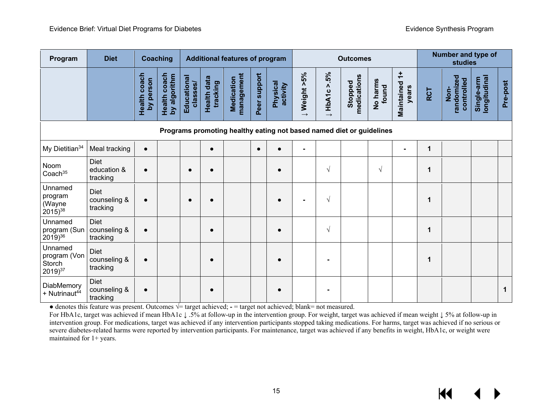| Program                                           | <b>Diet</b>                             |                              | Coaching                     |                         | <b>Additional features of program</b> |                          |              | <b>Outcomes</b>             |                |                    | Number and type of<br><b>studies</b>                                 |                   |                          |              |                                  |                           |              |
|---------------------------------------------------|-----------------------------------------|------------------------------|------------------------------|-------------------------|---------------------------------------|--------------------------|--------------|-----------------------------|----------------|--------------------|----------------------------------------------------------------------|-------------------|--------------------------|--------------|----------------------------------|---------------------------|--------------|
|                                                   |                                         | coach<br>by person<br>Health | Health coach<br>by algorithm | Educational<br>classes/ | Health data<br>tracking               | management<br>Medication | Peer support | <b>Physical</b><br>activity | J Weight >5%   | $> 5\%$<br>J HbA1c | medications<br>Stopped                                               | No harms<br>found | ÷<br>Maintained<br>years | <b>RCT</b>   | randomized<br>controlled<br>Non- | ongitudinal<br>Single-arm | Pre-post     |
|                                                   |                                         |                              |                              |                         |                                       |                          |              |                             |                |                    | Programs promoting healthy eating not based named diet or guidelines |                   |                          |              |                                  |                           |              |
| My Dietitian <sup>34</sup>                        | Meal tracking                           | $\bullet$                    |                              |                         | $\bullet$                             |                          | $\bullet$    |                             | Ξ.             |                    |                                                                      |                   |                          | $\mathbf{1}$ |                                  |                           |              |
| Noom<br>Coach <sup>35</sup>                       | <b>Diet</b><br>education &<br>tracking  | $\bullet$                    |                              |                         | $\bullet$                             |                          |              |                             |                | $\sqrt{ }$         |                                                                      | $\sqrt{ }$        |                          | 1            |                                  |                           |              |
| Unnamed<br>program<br>(Wayne<br>$2015)^{38}$      | Diet<br>counseling &<br>tracking        | $\bullet$                    |                              | $\bullet$               | $\bullet$                             |                          |              | $\bullet$                   | $\blacksquare$ | $\sqrt{ }$         |                                                                      |                   |                          | 1            |                                  |                           |              |
| Unnamed<br>program (Sun<br>$(2019)^{36}$          | Diet<br>counseling &<br>tracking        | $\bullet$                    |                              |                         | $\bullet$                             |                          |              | $\bullet$                   |                | $\sqrt{ }$         |                                                                      |                   |                          | 1            |                                  |                           |              |
| Unnamed<br>program (Von<br>Storch<br>$2019)^{37}$ | Diet<br>counseling &<br>tracking        | $\bullet$                    |                              |                         | $\bullet$                             |                          |              |                             |                |                    |                                                                      |                   |                          | 1            |                                  |                           |              |
| DiabMemory<br>+ Nutrinaut <sup>44</sup>           | <b>Diet</b><br>counseling &<br>tracking |                              |                              |                         |                                       |                          |              |                             |                |                    |                                                                      |                   |                          |              |                                  |                           | $\mathbf{1}$ |

**●** denotes this feature was present. Outcomes **√**= target achieved; **-** = target not achieved; blank= not measured.

For HbA1c, target was achieved if mean HbA1c **↓** .5% at follow-up in the intervention group. For weight, target was achieved if mean weight **↓** 5% at follow-up in intervention group. For medications, target was achieved if any intervention participants stopped taking medications. For harms, target was achieved if no serious or severe diabetes-related harms were reported by intervention participants. For maintenance, target was achieved if any benefits in weight, HbA1c, or weight were maintained for 1+ years.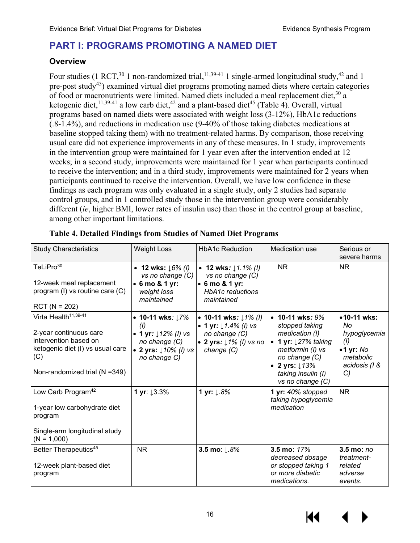# <span id="page-19-0"></span>**PART I: PROGRAMS PROMOTING A NAMED DIET**

#### <span id="page-19-1"></span>**Overview**

Four studies (1 RCT,  $30$  1 non-randomized trial,  $11,39-41$  1 single-armed longitudinal study,  $42$  and 1 pre-post study<sup>45</sup>) examined virtual diet programs promoting named diets where certain categories of food or macronutrients were limited. Named diets included a meal replacement diet,<sup>[30](#page-40-13)</sup> a ketogenic diet,<sup>[11,](#page-39-11)[39-41](#page-41-0)</sup> a low carb diet,<sup>42</sup> and a plant-based diet<sup>45</sup> (Table 4). Overall, virtual programs based on named diets were associated with weight loss (3-12%), HbA1c reductions (.8-1.4%), and reductions in medication use (9-40% of those taking diabetes medications at baseline stopped taking them) with no treatment-related harms. By comparison, those receiving usual care did not experience improvements in any of these measures. In 1 study, improvements in the intervention group were maintained for 1 year even after the intervention ended at 12 weeks; in a second study, improvements were maintained for 1 year when participants continued to receive the intervention; and in a third study, improvements were maintained for 2 years when participants continued to receive the intervention. Overall, we have low confidence in these findings as each program was only evaluated in a single study, only 2 studies had separate control groups, and in 1 controlled study those in the intervention group were considerably different (*ie*, higher BMI, lower rates of insulin use) than those in the control group at baseline, among other important limitations.

| <b>Study Characteristics</b>                                                                                                                                    | <b>Weight Loss</b>                                                                                            | <b>HbA1c Reduction</b>                                                                                       | Medication use                                                                                                                                                                             | Serious or<br>severe harms                                                                         |
|-----------------------------------------------------------------------------------------------------------------------------------------------------------------|---------------------------------------------------------------------------------------------------------------|--------------------------------------------------------------------------------------------------------------|--------------------------------------------------------------------------------------------------------------------------------------------------------------------------------------------|----------------------------------------------------------------------------------------------------|
| TeLiPro <sup>30</sup><br>12-week meal replacement<br>program (I) vs routine care (C)<br>$RCT (N = 202)$                                                         | • 12 wks: $16\%$ (l)<br>vs no change (C)<br>• 6 mo & 1 yr:<br>weight loss<br>maintained                       | • 12 wks: $1.1\%$ (l)<br>vs no change (C)<br>• 6 mo & 1 yr:<br><b>HbA1c</b> reductions<br>maintained         | NR.                                                                                                                                                                                        | NR.                                                                                                |
| Virta Health <sup>11,39-41</sup><br>2-year continuous care<br>intervention based on<br>ketogenic diet (I) vs usual care<br>(C)<br>Non-randomized trial (N =349) | • 10-11 wks: $17%$<br>(1)<br>• 1 yr: $12\%$ (l) vs<br>no change (C)<br>• 2 yrs: $10\%$ (l) vs<br>no change C) | • 10-11 wks: $11\%$ (l)<br>• 1 yr: $1.4\%$ (l) vs<br>no change (C)<br>• 2 yrs: $1\%$ (l) vs no<br>change (C) | • 10-11 wks: $9%$<br>stopped taking<br>medication (I)<br>1 yr: $127%$ taking<br>$\bullet$<br>metformin (I) vs<br>no change (C)<br>• 2 yrs: $13%$<br>taking insulin (I)<br>vs no change (C) | •10-11 wks:<br>No<br>hypoglycemia<br>(1)<br>$\bullet$ 1 yr: No<br>metabolic<br>acidosis (1 &<br>C) |
| Low Carb Program <sup>42</sup><br>1-year low carbohydrate diet<br>program<br>Single-arm longitudinal study<br>$(N = 1,000)$                                     | 1 yr: 13.3%                                                                                                   | 1 yr: ↓.8%                                                                                                   | 1 yr: 40% stopped<br>taking hypoglycemia<br>medication                                                                                                                                     | <b>NR</b>                                                                                          |
| Better Therapeutics <sup>45</sup><br>12-week plant-based diet<br>program                                                                                        | <b>NR</b>                                                                                                     | 3.5 mo: ↓.8%                                                                                                 | 3.5 mo: 17%<br>decreased dosage<br>or stopped taking 1<br>or more diabetic<br>medications.                                                                                                 | 3.5 mo: no<br>treatment-<br>related<br>adverse<br>events.                                          |

#### <span id="page-19-2"></span>**Table 4. Detailed Findings from Studies of Named Diet Programs**

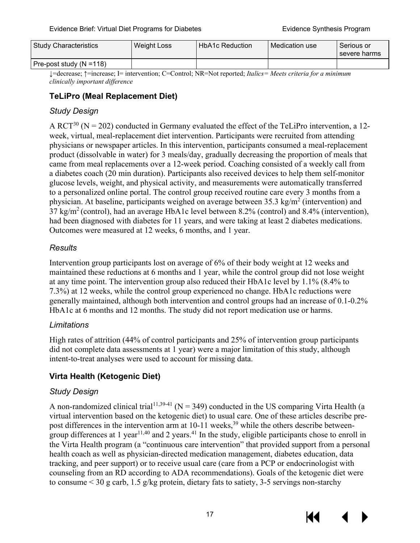| <b>Study Characteristics</b> | Weight Loss | <b>HbA1c Reduction</b> | Medication use | Serious or<br>severe harms |
|------------------------------|-------------|------------------------|----------------|----------------------------|
| Pre-post study $(N = 118)$   |             |                        |                |                            |

↓=decrease; ↑=increase; I= intervention; C=Control; NR=Not reported; *Italics= Meets criteria for a minimum clinically important difference*

#### <span id="page-20-0"></span>**TeLiPro (Meal Replacement Diet)**

#### *Study Design*

A RCT<sup>30</sup> (N = 202) conducted in Germany evaluated the effect of the TeLiPro intervention, a 12week, virtual, meal-replacement diet intervention. Participants were recruited from attending physicians or newspaper articles. In this intervention, participants consumed a meal-replacement product (dissolvable in water) for 3 meals/day, gradually decreasing the proportion of meals that came from meal replacements over a 12-week period. Coaching consisted of a weekly call from a diabetes coach (20 min duration). Participants also received devices to help them self-monitor glucose levels, weight, and physical activity, and measurements were automatically transferred to a personalized online portal. The control group received routine care every 3 months from a physician. At baseline, participants weighed on average between  $35.3 \text{ kg/m}^2$  (intervention) and  $37 \text{ kg/m}^2$  (control), had an average HbA1c level between 8.2% (control) and 8.4% (intervention), had been diagnosed with diabetes for 11 years, and were taking at least 2 diabetes medications. Outcomes were measured at 12 weeks, 6 months, and 1 year.

#### *Results*

Intervention group participants lost on average of 6% of their body weight at 12 weeks and maintained these reductions at 6 months and 1 year, while the control group did not lose weight at any time point. The intervention group also reduced their HbA1c level by 1.1% (8.4% to 7.3%) at 12 weeks, while the control group experienced no change. HbA1c reductions were generally maintained, although both intervention and control groups had an increase of 0.1-0.2% HbA1c at 6 months and 12 months. The study did not report medication use or harms.

#### *Limitations*

High rates of attrition (44% of control participants and 25% of intervention group participants did not complete data assessments at 1 year) were a major limitation of this study, although intent-to-treat analyses were used to account for missing data.

#### <span id="page-20-1"></span>**Virta Health (Ketogenic Diet)**

#### *Study Design*

A non-randomized clinical trial<sup>[11,](#page-39-11)39-41</sup> (N = 349) conducted in the US comparing Virta Health (a virtual intervention based on the ketogenic diet) to usual care. One of these articles describe prepost differences in the intervention arm at  $10-11$  weeks,<sup>[39](#page-41-0)</sup> while the others describe betweengroup differences at 1 year $11,40$  $11,40$  and 2 years.<sup>[41](#page-41-21)</sup> In the study, eligible participants chose to enroll in the Virta Health program (a "continuous care intervention" that provided support from a personal health coach as well as physician-directed medication management, diabetes education, data tracking, and peer support) or to receive usual care (care from a PCP or endocrinologist with counseling from an RD according to ADA recommendations). Goals of the ketogenic diet were to consume < 30 g carb, 1.5 g/kg protein, dietary fats to satiety, 3-5 servings non-starchy



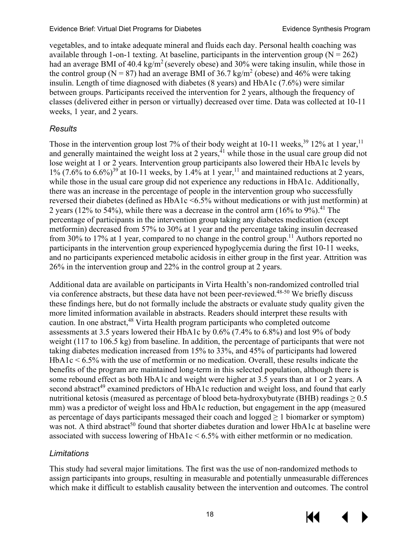vegetables, and to intake adequate mineral and fluids each day. Personal health coaching was available through 1-on-1 texting. At baseline, participants in the intervention group ( $N = 262$ ) had an average BMI of  $40.4 \text{ kg/m}^2$  (severely obese) and 30% were taking insulin, while those in the control group ( $N = 87$ ) had an average BMI of 36.7 kg/m<sup>2</sup> (obese) and 46% were taking insulin. Length of time diagnosed with diabetes (8 years) and HbA1c (7.6%) were similar between groups. Participants received the intervention for 2 years, although the frequency of classes (delivered either in person or virtually) decreased over time. Data was collected at 10-11 weeks, 1 year, and 2 years.

#### *Results*

Those in the intervention group lost 7% of their body weight at 10-11 weeks,  $39\frac{12}{%}$  $39\frac{12}{%}$  at 1 year, <sup>11</sup> and generally maintained the weight loss at 2 years,  $41$  while those in the usual care group did not lose weight at 1 or 2 years. Intervention group participants also lowered their HbA1c levels by  $1\%$  (7.6% to 6.6%)<sup>[39](#page-41-0)</sup> at 10-11 weeks, by 1.4% at 1 year,<sup>11</sup> and maintained reductions at 2 years, while those in the usual care group did not experience any reductions in HbA1c. Additionally, there was an increase in the percentage of people in the intervention group who successfully reversed their diabetes (defined as HbA1c <6.5% without medications or with just metformin) at 2 years (12% to 54%), while there was a decrease in the control arm (16% to  $9\%$ ).<sup>41</sup> The percentage of participants in the intervention group taking any diabetes medication (except metformin) decreased from 57% to 30% at 1 year and the percentage taking insulin decreased from 30% to 17% at 1 year, compared to no change in the control group.<sup>11</sup> Authors reported no participants in the intervention group experienced hypoglycemia during the first 10-11 weeks, and no participants experienced metabolic acidosis in either group in the first year. Attrition was 26% in the intervention group and 22% in the control group at 2 years.

Additional data are available on participants in Virta Health's non-randomized controlled trial via conference abstracts, but these data have not been peer-reviewed.<sup>[48-50](#page-42-5)</sup> We briefly discuss these findings here, but do not formally include the abstracts or evaluate study quality given the more limited information available in abstracts. Readers should interpret these results with caution. In one abstract, [48](#page-42-5) Virta Health program participants who completed outcome assessments at 3.5 years lowered their HbA1c by 0.6% (7.4% to 6.8%) and lost 9% of body weight (117 to 106.5 kg) from baseline. In addition, the percentage of participants that were not taking diabetes medication increased from 15% to 33%, and 45% of participants had lowered  $HbA1c < 6.5\%$  with the use of metformin or no medication. Overall, these results indicate the benefits of the program are maintained long-term in this selected population, although there is some rebound effect as both HbA1c and weight were higher at 3.5 years than at 1 or 2 years. A second abstract<sup>[49](#page-42-6)</sup> examined predictors of HbA1c reduction and weight loss, and found that early nutritional ketosis (measured as percentage of blood beta-hydroxybutyrate (BHB) readings  $\geq 0.5$ mm) was a predictor of weight loss and HbA1c reduction, but engagement in the app (measured as percentage of days participants messaged their coach and logged  $\geq 1$  biomarker or symptom) was not. A third abstract<sup>50</sup> found that shorter diabetes duration and lower HbA1c at baseline were associated with success lowering of HbA1c < 6.5% with either metformin or no medication.

#### *Limitations*

This study had several major limitations. The first was the use of non-randomized methods to assign participants into groups, resulting in measurable and potentially unmeasurable differences which make it difficult to establish causality between the intervention and outcomes. The control

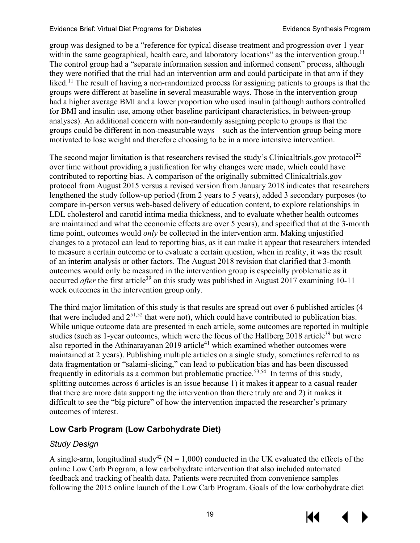#### Evidence Brief: Virtual Diet Programs for Diabetes **Exitence Synthesis Program**

group was designed to be a "reference for typical disease treatment and progression over 1 year within the same geographical, health care, and laboratory locations" as the intervention group.<sup>11</sup> The control group had a "separate information session and informed consent" process, although they were notified that the trial had an intervention arm and could participate in that arm if they liked.<sup>11</sup> The result of having a non-randomized process for assigning patients to groups is that the groups were different at baseline in several measurable ways. Those in the intervention group had a higher average BMI and a lower proportion who used insulin (although authors controlled for BMI and insulin use, among other baseline participant characteristics, in between-group analyses). An additional concern with non-randomly assigning people to groups is that the groups could be different in non-measurable ways – such as the intervention group being more motivated to lose weight and therefore choosing to be in a more intensive intervention.

The second major limitation is that researchers revised the study's Clinicaltrials.gov protocol<sup>[22](#page-40-5)</sup> over time without providing a justification for why changes were made, which could have contributed to reporting bias. A comparison of the originally submitted Clinicaltrials.gov protocol from August 2015 versus a revised version from January 2018 indicates that researchers lengthened the study follow-up period (from 2 years to 5 years), added 3 secondary purposes (to compare in-person versus web-based delivery of education content, to explore relationships in LDL cholesterol and carotid intima media thickness, and to evaluate whether health outcomes are maintained and what the economic effects are over 5 years), and specified that at the 3-month time point, outcomes would *only* be collected in the intervention arm. Making unjustified changes to a protocol can lead to reporting bias, as it can make it appear that researchers intended to measure a certain outcome or to evaluate a certain question, when in reality, it was the result of an interim analysis or other factors. The August 2018 revision that clarified that 3-month outcomes would only be measured in the intervention group is especially problematic as it occurred *after* the first article<sup>39</sup> on this study was published in August 2017 examining 10-11 week outcomes in the intervention group only.

The third major limitation of this study is that results are spread out over 6 published articles (4 that were included and  $2^{51,52}$  $2^{51,52}$  $2^{51,52}$  that were not), which could have contributed to publication bias. While unique outcome data are presented in each article, some outcomes are reported in multiple studies (such as 1-year outcomes, which were the focus of the Hallberg  $2018$  article<sup>39</sup> but were also reported in the Athinarayanan 2019 article<sup>41</sup> which examined whether outcomes were maintained at 2 years). Publishing multiple articles on a single study, sometimes referred to as data fragmentation or "salami-slicing," can lead to publication bias and has been discussed frequently in editorials as a common but problematic practice.<sup>[53](#page-42-10)[,54](#page-42-11)</sup> In terms of this study, splitting outcomes across 6 articles is an issue because 1) it makes it appear to a casual reader that there are more data supporting the intervention than there truly are and 2) it makes it difficult to see the "big picture" of how the intervention impacted the researcher's primary outcomes of interest.

#### <span id="page-22-0"></span>**Low Carb Program (Low Carbohydrate Diet)**

#### *Study Design*

A single-arm, longitudinal study<sup>42</sup> (N = 1,000) conducted in the UK evaluated the effects of the online Low Carb Program, a low carbohydrate intervention that also included automated feedback and tracking of health data. Patients were recruited from convenience samples following the 2015 online launch of the Low Carb Program. Goals of the low carbohydrate diet

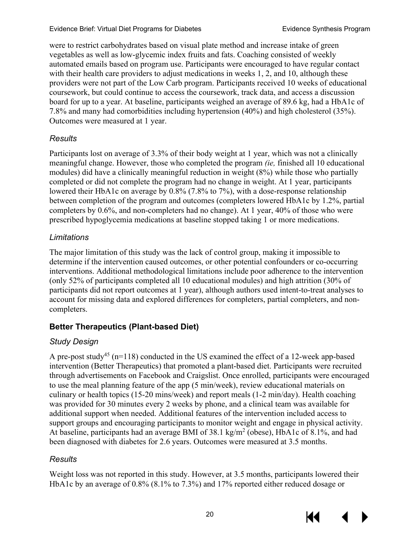were to restrict carbohydrates based on visual plate method and increase intake of green vegetables as well as low-glycemic index fruits and fats. Coaching consisted of weekly automated emails based on program use. Participants were encouraged to have regular contact with their health care providers to adjust medications in weeks 1, 2, and 10, although these providers were not part of the Low Carb program. Participants received 10 weeks of educational coursework, but could continue to access the coursework, track data, and access a discussion board for up to a year. At baseline, participants weighed an average of 89.6 kg, had a HbA1c of 7.8% and many had comorbidities including hypertension (40%) and high cholesterol (35%). Outcomes were measured at 1 year.

#### *Results*

Participants lost on average of 3.3% of their body weight at 1 year, which was not a clinically meaningful change. However, those who completed the program *(ie,* finished all 10 educational modules) did have a clinically meaningful reduction in weight (8%) while those who partially completed or did not complete the program had no change in weight. At 1 year, participants lowered their HbA1c on average by 0.8% (7.8% to 7%), with a dose-response relationship between completion of the program and outcomes (completers lowered HbA1c by 1.2%, partial completers by 0.6%, and non-completers had no change). At 1 year, 40% of those who were prescribed hypoglycemia medications at baseline stopped taking 1 or more medications.

#### *Limitations*

The major limitation of this study was the lack of control group, making it impossible to determine if the intervention caused outcomes, or other potential confounders or co-occurring interventions. Additional methodological limitations include poor adherence to the intervention (only 52% of participants completed all 10 educational modules) and high attrition (30% of participants did not report outcomes at 1 year), although authors used intent-to-treat analyses to account for missing data and explored differences for completers, partial completers, and noncompleters.

#### <span id="page-23-0"></span>**Better Therapeutics (Plant-based Diet)**

#### *Study Design*

A pre-post study<sup>45</sup> (n=118) conducted in the US examined the effect of a 12-week app-based intervention (Better Therapeutics) that promoted a plant-based diet. Participants were recruited through advertisements on Facebook and Craigslist. Once enrolled, participants were encouraged to use the meal planning feature of the app (5 min/week), review educational materials on culinary or health topics (15-20 mins/week) and report meals (1-2 min/day). Health coaching was provided for 30 minutes every 2 weeks by phone, and a clinical team was available for additional support when needed. Additional features of the intervention included access to support groups and encouraging participants to monitor weight and engage in physical activity. At baseline, participants had an average BMI of  $38.1 \text{ kg/m}^2$  (obese), HbA1c of  $8.1\%$ , and had been diagnosed with diabetes for 2.6 years. Outcomes were measured at 3.5 months.

#### *Results*

Weight loss was not reported in this study. However, at 3.5 months, participants lowered their HbA1c by an average of 0.8% (8.1% to 7.3%) and 17% reported either reduced dosage or



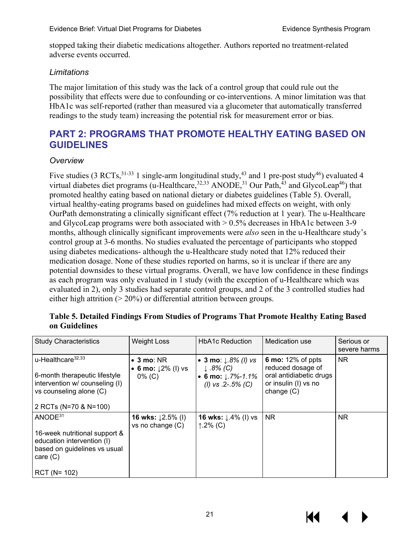stopped taking their diabetic medications altogether. Authors reported no treatment-related adverse events occurred.

#### *Limitations*

The major limitation of this study was the lack of a control group that could rule out the possibility that effects were due to confounding or co-interventions. A minor limitation was that HbA1c was self-reported (rather than measured via a glucometer that automatically transferred readings to the study team) increasing the potential risk for measurement error or bias.

# <span id="page-24-0"></span>**PART 2: PROGRAMS THAT PROMOTE HEALTHY EATING BASED ON GUIDELINES**

#### *Overview*

Five studies (3 RCTs,  $31-33$  1 single-arm longitudinal study,  $43$  and 1 pre-post study $46$ ) evaluated 4 virtual diabetes diet programs (u-Healthcare,  $32,33$  $32,33$  ANODE,  $31$  Our Path,  $43$  and GlycoLeap<sup>46</sup>) that promoted healthy eating based on national dietary or diabetes guidelines (Table 5). Overall, virtual healthy-eating programs based on guidelines had mixed effects on weight, with only OurPath demonstrating a clinically significant effect (7% reduction at 1 year). The u-Healthcare and GlycoLeap programs were both associated with  $> 0.5\%$  decreases in HbA1c between 3-9 months, although clinically significant improvements were *also* seen in the u-Healthcare study's control group at 3-6 months. No studies evaluated the percentage of participants who stopped using diabetes medications- although the u-Healthcare study noted that 12% reduced their medication dosage. None of these studies reported on harms, so it is unclear if there are any potential downsides to these virtual programs. Overall, we have low confidence in these findings as each program was only evaluated in 1 study (with the exception of u-Healthcare which was evaluated in 2), only 3 studies had separate control groups, and 2 of the 3 controlled studies had either high attrition  $(20\%)$  or differential attrition between groups.

| <b>Study Characteristics</b>                                                                                                                         | <b>Weight Loss</b>                                       | <b>HbA1c Reduction</b>                                                                                     | Medication use                                                                                                   | Serious or<br>severe harms |
|------------------------------------------------------------------------------------------------------------------------------------------------------|----------------------------------------------------------|------------------------------------------------------------------------------------------------------------|------------------------------------------------------------------------------------------------------------------|----------------------------|
| u-Healthcare <sup>32,33</sup><br>6-month therapeutic lifestyle<br>intervention w/ counseling (I)<br>vs counseling alone (C)<br>2 RCTs (N=70 & N=100) | $\bullet$ 3 mo: NR<br>• 6 mo: $12\%$ (l) vs<br>$0\%$ (C) | • 3 mo: $1.8\%$ ( <i>l</i> ) vs<br>$\downarrow$ .8% (C)<br>• 6 mo: $1.7\% - 1.1\%$<br>(1) vs $.2-.5\%$ (C) | <b>6 mo:</b> 12% of ppts<br>reduced dosage of<br>oral antidiabetic drugs<br>or insulin (I) vs no<br>change $(C)$ | NR.                        |
| ANODE <sup>31</sup>                                                                                                                                  | <b>16 wks:</b> $\downarrow$ 2.5% (l)                     | <b>16 wks:</b> ↓.4% (l) vs                                                                                 | NR.                                                                                                              | NR.                        |
| 16-week nutritional support &<br>education intervention (I)<br>based on guidelines vs usual<br>care $(C)$                                            | vs no change $(C)$                                       | ↑.2% (C)                                                                                                   |                                                                                                                  |                            |
| $RCT (N = 102)$                                                                                                                                      |                                                          |                                                                                                            |                                                                                                                  |                            |

#### <span id="page-24-1"></span>**Table 5. Detailed Findings From Studies of Programs That Promote Healthy Eating Based on Guidelines**



К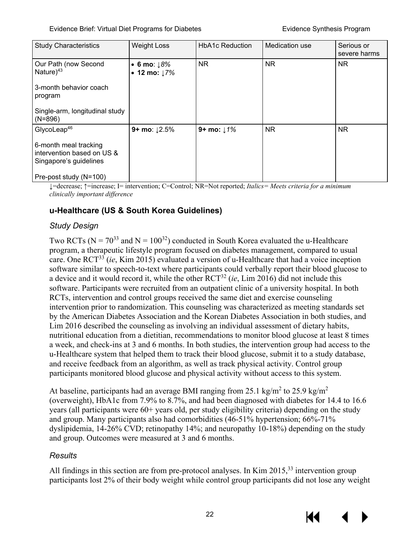| <b>Study Characteristics</b>                                                  | <b>Weight Loss</b>            | <b>HbA1c Reduction</b> | Medication use | Serious or<br>severe harms |
|-------------------------------------------------------------------------------|-------------------------------|------------------------|----------------|----------------------------|
| Our Path (now Second<br>Nature $)^{43}$                                       | • 6 mo: $18%$<br>• 12 mo: 17% | <b>NR</b>              | N <sub>R</sub> | NR.                        |
| 3-month behavior coach<br>program                                             |                               |                        |                |                            |
| Single-arm, longitudinal study<br>$(N=896)$                                   |                               |                        |                |                            |
| GlycoLeap <sup>46</sup>                                                       | 9+ mo: $12.5%$                | 9+ mo: $1\%$           | NR.            | NR.                        |
| 6-month meal tracking<br>intervention based on US &<br>Singapore's guidelines |                               |                        |                |                            |
| Pre-post study (N=100)                                                        |                               |                        |                |                            |

↓=decrease; ↑=increase; I= intervention; C=Control; NR=Not reported; *Italics= Meets criteria for a minimum clinically important difference*

#### <span id="page-25-0"></span>**u-Healthcare (US & South Korea Guidelines)**

#### *Study Design*

Two RCTs ( $N = 70^{33}$  and  $N = 100^{32}$ ) conducted in South Korea evaluated the u-Healthcare program, a therapeutic lifestyle program focused on diabetes management, compared to usual care. One RC[T33](#page-41-3) (*ie*, Kim 2015) evaluated a version of u-Healthcare that had a voice inception software similar to speech-to-text where participants could verbally report their blood glucose to a device and it would record it, while the other RC[T32](#page-41-2) (*ie*, Lim 2016) did not include this software. Participants were recruited from an outpatient clinic of a university hospital. In both RCTs, intervention and control groups received the same diet and exercise counseling intervention prior to randomization. This counseling was characterized as meeting standards set by the American Diabetes Association and the Korean Diabetes Association in both studies, and Lim 2016 described the counseling as involving an individual assessment of dietary habits, nutritional education from a dietitian, recommendations to monitor blood glucose at least 8 times a week, and check-ins at 3 and 6 months. In both studies, the intervention group had access to the u-Healthcare system that helped them to track their blood glucose, submit it to a study database, and receive feedback from an algorithm, as well as track physical activity. Control group participants monitored blood glucose and physical activity without access to this system.

At baseline, participants had an average BMI ranging from 25.1 kg/m<sup>2</sup> to 25.9 kg/m<sup>2</sup> (overweight), HbA1c from 7.9% to 8.7%, and had been diagnosed with diabetes for 14.4 to 16.6 years (all participants were 60+ years old, per study eligibility criteria) depending on the study and group. Many participants also had comorbidities (46-51% hypertension; 66%-71% dyslipidemia, 14-26% CVD; retinopathy 14%; and neuropathy 10-18%) depending on the study and group. Outcomes were measured at 3 and 6 months.

#### *Results*

All findings in this section are from pre-protocol analyses. In Kim  $2015$ <sup>33</sup> intervention group participants lost 2% of their body weight while control group participants did not lose any weight

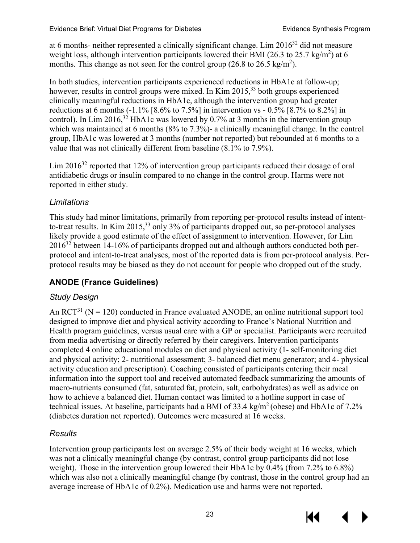at 6 months- neither represented a clinically significant change. Lim 201[632](#page-41-2) did not measure weight loss, although intervention participants lowered their BMI (26.3 to 25.7 kg/m<sup>2</sup>) at 6 months. This change as not seen for the control group (26.8 to 26.5 kg/m<sup>2</sup>).

In both studies, intervention participants experienced reductions in HbA1c at follow-up; however, results in control groups were mixed. In Kim 2015,<sup>[33](#page-41-3)</sup> both groups experienced clinically meaningful reductions in HbA1c, although the intervention group had greater reductions at 6 months  $(-1.1\%$  [8.6% to 7.5%] in intervention vs - 0.5% [8.7% to 8.2%] in control). In Lim 2016,<sup>[32](#page-41-2)</sup> HbA1c was lowered by 0.7% at 3 months in the intervention group which was maintained at 6 months (8% to 7.3%)- a clinically meaningful change. In the control group, HbA1c was lowered at 3 months (number not reported) but rebounded at 6 months to a value that was not clinically different from baseline (8.1% to 7.9%).

Lim 2016<sup>32</sup> reported that 12% of intervention group participants reduced their dosage of oral antidiabetic drugs or insulin compared to no change in the control group. Harms were not reported in either study.

#### *Limitations*

This study had minor limitations, primarily from reporting per-protocol results instead of intentto-treat results. In Kim 2015,<sup>33</sup> only 3% of participants dropped out, so per-protocol analyses likely provide a good estimate of the effect of assignment to intervention. However, for Lim  $2016<sup>32</sup>$  $2016<sup>32</sup>$  $2016<sup>32</sup>$  between 14-16% of participants dropped out and although authors conducted both perprotocol and intent-to-treat analyses, most of the reported data is from per-protocol analysis. Perprotocol results may be biased as they do not account for people who dropped out of the study.

#### <span id="page-26-0"></span>**ANODE (France Guidelines)**

#### *Study Design*

An  $RCT<sup>31</sup>$  (N = 120) conducted in France evaluated ANODE, an online nutritional support tool designed to improve diet and physical activity according to France's National Nutrition and Health program guidelines, versus usual care with a GP or specialist. Participants were recruited from media advertising or directly referred by their caregivers. Intervention participants completed 4 online educational modules on diet and physical activity (1- self-monitoring diet and physical activity; 2- nutritional assessment; 3- balanced diet menu generator; and 4- physical activity education and prescription). Coaching consisted of participants entering their meal information into the support tool and received automated feedback summarizing the amounts of macro-nutrients consumed (fat, saturated fat, protein, salt, carbohydrates) as well as advice on how to achieve a balanced diet. Human contact was limited to a hotline support in case of technical issues. At baseline, participants had a BMI of  $33.4 \text{ kg/m}^2$  (obese) and HbA1c of  $7.2\%$ (diabetes duration not reported). Outcomes were measured at 16 weeks.

#### *Results*

Intervention group participants lost on average 2.5% of their body weight at 16 weeks, which was not a clinically meaningful change (by contrast, control group participants did not lose weight). Those in the intervention group lowered their HbA1c by 0.4% (from 7.2% to 6.8%) which was also not a clinically meaningful change (by contrast, those in the control group had an average increase of HbA1c of 0.2%). Medication use and harms were not reported.



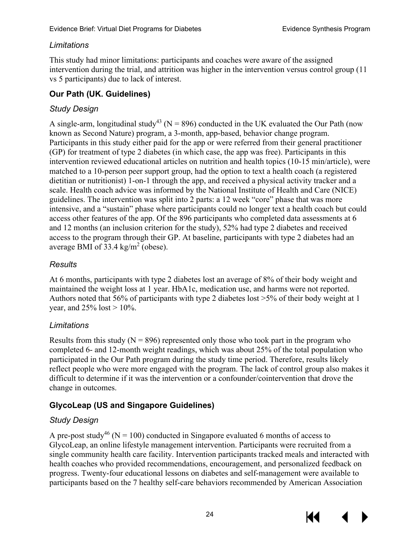#### *Limitations*

This study had minor limitations: participants and coaches were aware of the assigned intervention during the trial, and attrition was higher in the intervention versus control group (11 vs 5 participants) due to lack of interest.

#### <span id="page-27-0"></span>**Our Path (UK. Guidelines)**

#### *Study Design*

A single-arm, longitudinal study<sup>43</sup> (N = 896) conducted in the UK evaluated the Our Path (now known as Second Nature) program, a 3-month, app-based, behavior change program. Participants in this study either paid for the app or were referred from their general practitioner (GP) for treatment of type 2 diabetes (in which case, the app was free). Participants in this intervention reviewed educational articles on nutrition and health topics (10-15 min/article), were matched to a 10-person peer support group, had the option to text a health coach (a registered dietitian or nutritionist) 1-on-1 through the app, and received a physical activity tracker and a scale. Health coach advice was informed by the National Institute of Health and Care (NICE) guidelines. The intervention was split into 2 parts: a 12 week "core" phase that was more intensive, and a "sustain" phase where participants could no longer text a health coach but could access other features of the app. Of the 896 participants who completed data assessments at 6 and 12 months (an inclusion criterion for the study), 52% had type 2 diabetes and received access to the program through their GP. At baseline, participants with type 2 diabetes had an average BMI of  $33.4 \text{ kg/m}^2$  (obese).

#### *Results*

At 6 months, participants with type 2 diabetes lost an average of 8% of their body weight and maintained the weight loss at 1 year. HbA1c, medication use, and harms were not reported. Authors noted that 56% of participants with type 2 diabetes lost >5% of their body weight at 1 year, and  $25%$  lost  $> 10%$ .

#### *Limitations*

Results from this study ( $N = 896$ ) represented only those who took part in the program who completed 6- and 12-month weight readings, which was about 25% of the total population who participated in the Our Path program during the study time period. Therefore, results likely reflect people who were more engaged with the program. The lack of control group also makes it difficult to determine if it was the intervention or a confounder/cointervention that drove the change in outcomes.

#### <span id="page-27-1"></span>**GlycoLeap (US and Singapore Guidelines)**

#### *Study Design*

A pre-post study<sup>[46](#page-42-1)</sup> (N = 100) conducted in Singapore evaluated 6 months of access to GlycoLeap, an online lifestyle management intervention. Participants were recruited from a single community health care facility. Intervention participants tracked meals and interacted with health coaches who provided recommendations, encouragement, and personalized feedback on progress. Twenty-four educational lessons on diabetes and self-management were available to participants based on the 7 healthy self-care behaviors recommended by American Association



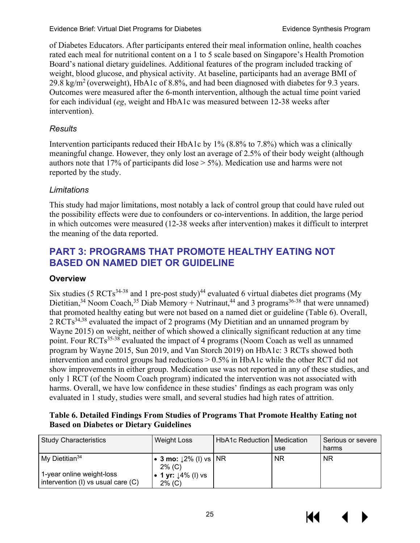of Diabetes Educators. After participants entered their meal information online, health coaches rated each meal for nutritional content on a 1 to 5 scale based on Singapore's Health Promotion Board's national dietary guidelines. Additional features of the program included tracking of weight, blood glucose, and physical activity. At baseline, participants had an average BMI of 29.8 kg/m<sup>2</sup> (overweight), HbA1c of 8.8%, and had been diagnosed with diabetes for 9.3 years. Outcomes were measured after the 6-month intervention, although the actual time point varied for each individual (*eg*, weight and HbA1c was measured between 12-38 weeks after intervention).

#### *Results*

Intervention participants reduced their HbA1c by 1% (8.8% to 7.8%) which was a clinically meaningful change. However, they only lost an average of 2.5% of their body weight (although authors note that 17% of participants did lose > 5%). Medication use and harms were not reported by the study.

#### *Limitations*

This study had major limitations, most notably a lack of control group that could have ruled out the possibility effects were due to confounders or co-interventions. In addition, the large period in which outcomes were measured (12-38 weeks after intervention) makes it difficult to interpret the meaning of the data reported.

# <span id="page-28-0"></span>**PART 3: PROGRAMS THAT PROMOTE HEALTHY EATING NOT BASED ON NAMED DIET OR GUIDELINE**

#### <span id="page-28-1"></span>**Overview**

Six studies (5 RCTs<sup>34-38</sup> and 1 pre-post study)<sup>44</sup> evaluated 6 virtual diabetes diet programs (My Dietitian,<sup>34</sup> Noom Coach,<sup>35</sup> Diab Memory + Nutrinaut,<sup>44</sup> and 3 programs<sup>36-38</sup> that were unnamed) that promoted healthy eating but were not based on a named diet or guideline (Table 6). Overall, 2 RCTs<sup>[34,](#page-41-6)38</sup> evaluated the impact of 2 programs (My Dietitian and an unnamed program by Wayne 2015) on weight, neither of which showed a clinically significant reduction at any time point. Four RCTs<sup>35-38</sup> evaluated the impact of 4 programs (Noom Coach as well as unnamed program by Wayne 2015, Sun 2019, and Van Storch 2019) on HbA1c: 3 RCTs showed both intervention and control groups had reductions > 0.5% in HbA1c while the other RCT did not show improvements in either group. Medication use was not reported in any of these studies, and only 1 RCT (of the Noom Coach program) indicated the intervention was not associated with harms. Overall, we have low confidence in these studies' findings as each program was only evaluated in 1 study, studies were small, and several studies had high rates of attrition.

#### <span id="page-28-2"></span>**Table 6. Detailed Findings From Studies of Programs That Promote Healthy Eating not Based on Diabetes or Dietary Guidelines**

| <b>Study Characteristics</b>                                    | <b>Weight Loss</b>                          | <b>HbA1c Reduction   Medication</b> | use       | Serious or severe<br>harms |
|-----------------------------------------------------------------|---------------------------------------------|-------------------------------------|-----------|----------------------------|
| $Mv$ Dietitian <sup>34</sup>                                    | • 3 mo: $12\%$ (I) vs   NR<br>$2\%$ (C)     |                                     | <b>NR</b> | <b>NR</b>                  |
| 1-year online weight-loss<br>intervention (I) vs usual care (C) | • 1 yr: $\downarrow$ 4% (I) vs<br>$2\%$ (C) |                                     |           |                            |



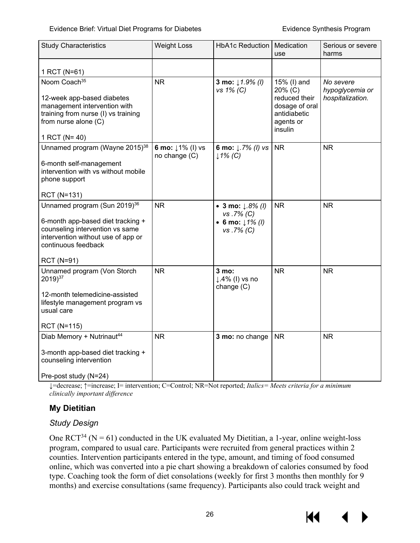#### Evidence Brief: Virtual Diet Programs for Diabetes **Exitence Synthesis Program**

| <b>Study Characteristics</b>                                                                                                                                                                       | <b>Weight Loss</b>                | HbA1c Reduction                                                             | Medication<br>use                                                                                 | Serious or severe<br>harms                       |
|----------------------------------------------------------------------------------------------------------------------------------------------------------------------------------------------------|-----------------------------------|-----------------------------------------------------------------------------|---------------------------------------------------------------------------------------------------|--------------------------------------------------|
| 1 RCT (N=61)                                                                                                                                                                                       |                                   |                                                                             |                                                                                                   |                                                  |
| Noom Coach <sup>35</sup><br>12-week app-based diabetes<br>management intervention with<br>training from nurse (I) vs training<br>from nurse alone (C)<br>1 RCT ( $N = 40$ )                        | <b>NR</b>                         | 3 mo: $1.9\%$ (1)<br>vs 1% (C)                                              | 15% (I) and<br>20% (C)<br>reduced their<br>dosage of oral<br>antidiabetic<br>agents or<br>insulin | No severe<br>hypoglycemia or<br>hospitalization. |
| Unnamed program (Wayne 2015) <sup>38</sup><br>6-month self-management<br>intervention with vs without mobile<br>phone support<br>RCT (N=131)                                                       | 6 mo: ↓1% (l) vs<br>no change (C) | 6 mo: $\downarrow$ .7% ( <i>l</i> ) vs<br>$1\%$ (C)                         | NR.                                                                                               | <b>NR</b>                                        |
| Unnamed program (Sun 2019) <sup>36</sup><br>6-month app-based diet tracking +<br>counseling intervention vs same<br>intervention without use of app or<br>continuous feedback<br><b>RCT (N=91)</b> | <b>NR</b>                         | • 3 mo: $1.8\%$ (1)<br>vs.7% (C)<br>• 6 mo: $1\frac{1}{6}$ (l)<br>vs.7% (C) | <b>NR</b>                                                                                         | <b>NR</b>                                        |
| Unnamed program (Von Storch<br>2019) <sup>37</sup><br>12-month telemedicine-assisted<br>lifestyle management program vs<br>usual care<br><b>RCT (N=115)</b>                                        | <b>NR</b>                         | 3 mo:<br>$\downarrow$ .4% (I) vs no<br>change (C)                           | <b>NR</b>                                                                                         | <b>NR</b>                                        |
| Diab Memory + Nutrinaut <sup>44</sup><br>3-month app-based diet tracking +<br>counseling intervention<br>Pre-post study (N=24)                                                                     | <b>NR</b>                         | 3 mo: no change                                                             | <b>NR</b>                                                                                         | <b>NR</b>                                        |

↓=decrease; ↑=increase; I= intervention; C=Control; NR=Not reported; *Italics= Meets criteria for a minimum clinically important difference*

#### <span id="page-29-0"></span>**My Dietitian**

#### *Study Design*

One  $RCT^{34}$  (N = 61) conducted in the UK evaluated My Dietitian, a 1-year, online weight-loss program, compared to usual care. Participants were recruited from general practices within 2 counties. Intervention participants entered in the type, amount, and timing of food consumed online, which was converted into a pie chart showing a breakdown of calories consumed by food type. Coaching took the form of diet consolations (weekly for first 3 months then monthly for 9 months) and exercise consultations (same frequency). Participants also could track weight and

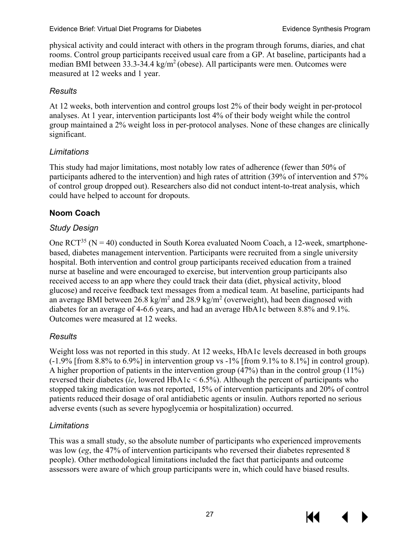physical activity and could interact with others in the program through forums, diaries, and chat rooms. Control group participants received usual care from a GP. At baseline, participants had a median BMI between 33.3-34.4 kg/m2 (obese). All participants were men. Outcomes were measured at 12 weeks and 1 year.

#### *Results*

At 12 weeks, both intervention and control groups lost 2% of their body weight in per-protocol analyses. At 1 year, intervention participants lost 4% of their body weight while the control group maintained a 2% weight loss in per-protocol analyses. None of these changes are clinically significant.

#### *Limitations*

This study had major limitations, most notably low rates of adherence (fewer than 50% of participants adhered to the intervention) and high rates of attrition (39% of intervention and 57% of control group dropped out). Researchers also did not conduct intent-to-treat analysis, which could have helped to account for dropouts.

#### <span id="page-30-0"></span>**Noom Coach**

#### *Study Design*

One  $\text{RCT}^{35}$  (N = 40) conducted in South Korea evaluated Noom Coach, a 12-week, smartphonebased, diabetes management intervention. Participants were recruited from a single university hospital. Both intervention and control group participants received education from a trained nurse at baseline and were encouraged to exercise, but intervention group participants also received access to an app where they could track their data (diet, physical activity, blood glucose) and receive feedback text messages from a medical team. At baseline, participants had an average BMI between 26.8 kg/m<sup>2</sup> and 28.9 kg/m<sup>2</sup> (overweight), had been diagnosed with diabetes for an average of 4-6.6 years, and had an average HbA1c between 8.8% and 9.1%. Outcomes were measured at 12 weeks.

#### *Results*

Weight loss was not reported in this study. At 12 weeks, HbA1c levels decreased in both groups  $(-1.9\%$  [from 8.8% to 6.9%] in intervention group vs -1% [from 9.1% to 8.1%] in control group). A higher proportion of patients in the intervention group (47%) than in the control group (11%) reversed their diabetes (*ie*, lowered HbA1c < 6.5%). Although the percent of participants who stopped taking medication was not reported, 15% of intervention participants and 20% of control patients reduced their dosage of oral antidiabetic agents or insulin. Authors reported no serious adverse events (such as severe hypoglycemia or hospitalization) occurred.

#### *Limitations*

This was a small study, so the absolute number of participants who experienced improvements was low (*eg*, the 47% of intervention participants who reversed their diabetes represented 8 people). Other methodological limitations included the fact that participants and outcome assessors were aware of which group participants were in, which could have biased results.



KI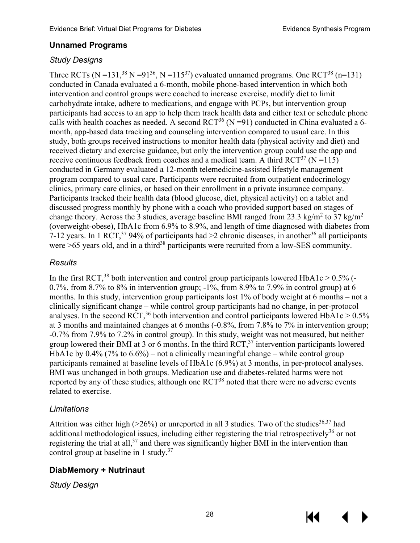#### <span id="page-31-0"></span>**Unnamed Programs**

#### *Study Designs*

Three RCTs (N = 131,<sup>[38](#page-41-22)</sup> N = 91<sup>36</sup>, N = 115<sup>37</sup>) evaluated unnamed programs. One RCT<sup>38</sup> (n=131) conducted in Canada evaluated a 6-month, mobile phone-based intervention in which both intervention and control groups were coached to increase exercise, modify diet to limit carbohydrate intake, adhere to medications, and engage with PCPs, but intervention group participants had access to an app to help them track health data and either text or schedule phone calls with health coaches as needed. A second  $RCT^{36}$  (N =91) conducted in China evaluated a 6month, app-based data tracking and counseling intervention compared to usual care. In this study, both groups received instructions to monitor health data (physical activity and diet) and received dietary and exercise guidance, but only the intervention group could use the app and receive continuous feedback from coaches and a medical team. A third  $\text{RCT}^{37}$  (N = 115) conducted in Germany evaluated a 12-month telemedicine-assisted lifestyle management program compared to usual care. Participants were recruited from outpatient endocrinology clinics, primary care clinics, or based on their enrollment in a private insurance company. Participants tracked their health data (blood glucose, diet, physical activity) on a tablet and discussed progress monthly by phone with a coach who provided support based on stages of change theory. Across the 3 studies, average baseline BMI ranged from 23.3 kg/m<sup>2</sup> to 37 kg/m<sup>2</sup> (overweight-obese), HbA1c from 6.9% to 8.9%, and length of time diagnosed with diabetes from 7-12 years. In 1 RCT,<sup>[37](#page-41-23)</sup> 94% of participants had >2 chronic diseases, in another<sup>[36](#page-41-9)</sup> all participants were  $>65$  years old, and in a third<sup>[38](#page-41-22)</sup> participants were recruited from a low-SES community.

#### *Results*

In the first RCT,<sup>[38](#page-41-22)</sup> both intervention and control group participants lowered HbA1c  $> 0.5\%$  (-0.7%, from 8.7% to 8% in intervention group;  $-1\%$ , from 8.9% to 7.9% in control group) at 6 months. In this study, intervention group participants lost 1% of body weight at 6 months – not a clinically significant change – while control group participants had no change, in per-protocol analyses. In the second RCT,<sup>[36](#page-41-9)</sup> both intervention and control participants lowered HbA1c >  $0.5\%$ at 3 months and maintained changes at 6 months (-0.8%, from 7.8% to 7% in intervention group; -0.7% from 7.9% to 7.2% in control group). In this study, weight was not measured, but neither group lowered their BMI at 3 or 6 months. In the third  $\text{RCT}$ <sup>37</sup> intervention participants lowered HbA1c by  $0.4\%$  (7% to  $6.6\%$ ) – not a clinically meaningful change – while control group participants remained at baseline levels of HbA1c (6.9%) at 3 months, in per-protocol analyses. BMI was unchanged in both groups. Medication use and diabetes-related harms were not reported by any of these studies, although one RCT<sup>38</sup> noted that there were no adverse events related to exercise.

#### *Limitations*

Attrition was either high ( $>26\%$ ) or unreported in all 3 studies. Two of the studies<sup>[36](#page-41-9)[,37](#page-41-23)</sup> had additional methodological issues, including either registering the trial retrospectively<sup>36</sup> or not registering the trial at all,<sup>[37](#page-41-23)</sup> and there was significantly higher BMI in the intervention than control group at baseline in 1 study.<sup>37</sup>

#### <span id="page-31-1"></span>**DiabMemory + Nutrinaut**

*Study Design*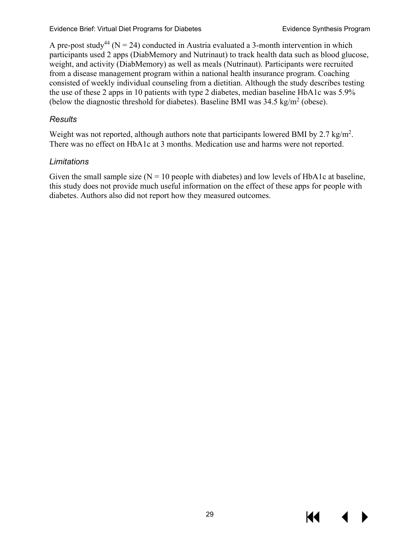A pre-post study<sup>44</sup> (N = 24) conducted in Austria evaluated a 3-month intervention in which participants used 2 apps (DiabMemory and Nutrinaut) to track health data such as blood glucose, weight, and activity (DiabMemory) as well as meals (Nutrinaut). Participants were recruited from a disease management program within a national health insurance program. Coaching consisted of weekly individual counseling from a dietitian. Although the study describes testing the use of these 2 apps in 10 patients with type 2 diabetes, median baseline HbA1c was 5.9% (below the diagnostic threshold for diabetes). Baseline BMI was  $34.5 \text{ kg/m}^2$  (obese).

#### *Results*

Weight was not reported, although authors note that participants lowered BMI by 2.7 kg/m<sup>2</sup>. There was no effect on HbA1c at 3 months. Medication use and harms were not reported.

#### *Limitations*

Given the small sample size  $(N = 10$  people with diabetes) and low levels of HbA1c at baseline, this study does not provide much useful information on the effect of these apps for people with diabetes. Authors also did not report how they measured outcomes.

К€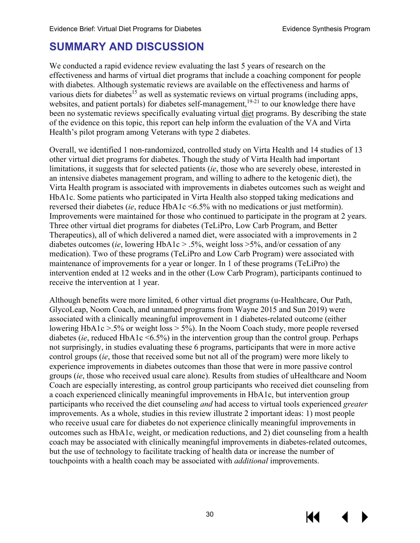# <span id="page-33-0"></span>**SUMMARY AND DISCUSSION**

We conducted a rapid evidence review evaluating the last 5 years of research on the effectiveness and harms of virtual diet programs that include a coaching component for people with diabetes. Although systematic reviews are available on the effectiveness and harms of various diets for diabetes<sup>15</sup> as well as systematic reviews on virtual programs (including apps, websites, and patient portals) for diabetes self-management,<sup>19-21</sup> to our knowledge there have been no systematic reviews specifically evaluating virtual diet programs. By describing the state of the evidence on this topic, this report can help inform the evaluation of the VA and Virta Health's pilot program among Veterans with type 2 diabetes.

Overall, we identified 1 non-randomized, controlled study on Virta Health and 14 studies of 13 other virtual diet programs for diabetes. Though the study of Virta Health had important limitations, it suggests that for selected patients (*ie*, those who are severely obese, interested in an intensive diabetes management program, and willing to adhere to the ketogenic diet), the Virta Health program is associated with improvements in diabetes outcomes such as weight and HbA1c. Some patients who participated in Virta Health also stopped taking medications and reversed their diabetes (*ie*, reduce HbA1c <6.5% with no medications or just metformin). Improvements were maintained for those who continued to participate in the program at 2 years. Three other virtual diet programs for diabetes (TeLiPro, Low Carb Program, and Better Therapeutics), all of which delivered a named diet, were associated with a improvements in 2 diabetes outcomes (*ie*, lowering HbA1c > .5%, weight loss >5%, and/or cessation of any medication). Two of these programs (TeLiPro and Low Carb Program) were associated with maintenance of improvements for a year or longer. In 1 of these programs (TeLiPro) the intervention ended at 12 weeks and in the other (Low Carb Program), participants continued to receive the intervention at 1 year.

Although benefits were more limited, 6 other virtual diet programs (u-Healthcare, Our Path, GlycoLeap, Noom Coach, and unnamed programs from Wayne 2015 and Sun 2019) were associated with a clinically meaningful improvement in 1 diabetes-related outcome (either lowering HbA1c >.5% or weight loss > 5%). In the Noom Coach study, more people reversed diabetes (*ie*, reduced HbA1c <6.5%) in the intervention group than the control group. Perhaps not surprisingly, in studies evaluating these 6 programs, participants that were in more active control groups (*ie*, those that received some but not all of the program) were more likely to experience improvements in diabetes outcomes than those that were in more passive control groups (*ie*, those who received usual care alone). Results from studies of uHealthcare and Noom Coach are especially interesting, as control group participants who received diet counseling from a coach experienced clinically meaningful improvements in HbA1c, but intervention group participants who received the diet counseling *and* had access to virtual tools experienced *greater* improvements. As a whole, studies in this review illustrate 2 important ideas: 1) most people who receive usual care for diabetes do not experience clinically meaningful improvements in outcomes such as HbA1c, weight, or medication reductions, and 2) diet counseling from a health coach may be associated with clinically meaningful improvements in diabetes-related outcomes, but the use of technology to facilitate tracking of health data or increase the number of touchpoints with a health coach may be associated with *additional* improvements.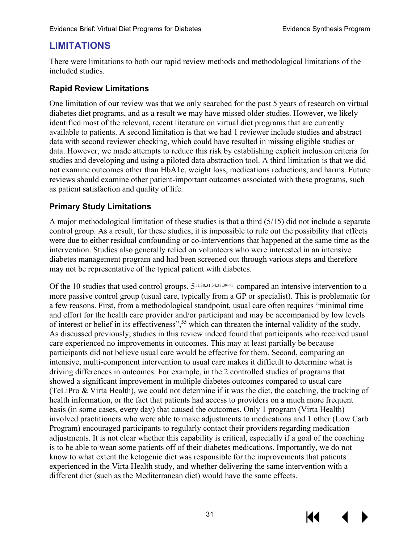# <span id="page-34-0"></span>**LIMITATIONS**

There were limitations to both our rapid review methods and methodological limitations of the included studies.

#### **Rapid Review Limitations**

One limitation of our review was that we only searched for the past 5 years of research on virtual diabetes diet programs, and as a result we may have missed older studies. However, we likely identified most of the relevant, recent literature on virtual diet programs that are currently available to patients. A second limitation is that we had 1 reviewer include studies and abstract data with second reviewer checking, which could have resulted in missing eligible studies or data. However, we made attempts to reduce this risk by establishing explicit inclusion criteria for studies and developing and using a piloted data abstraction tool. A third limitation is that we did not examine outcomes other than HbA1c, weight loss, medications reductions, and harms. Future reviews should examine other patient-important outcomes associated with these programs, such as patient satisfaction and quality of life.

#### **Primary Study Limitations**

A major methodological limitation of these studies is that a third (5/15) did not include a separate control group. As a result, for these studies, it is impossible to rule out the possibility that effects were due to either residual confounding or co-interventions that happened at the same time as the intervention. Studies also generally relied on volunteers who were interested in an intensive diabetes management program and had been screened out through various steps and therefore may not be representative of the typical patient with diabetes.

Of the 10 studies that used control groups,  $5^{11,30,31,34,37,39,41}$  $5^{11,30,31,34,37,39,41}$  $5^{11,30,31,34,37,39,41}$  $5^{11,30,31,34,37,39,41}$  $5^{11,30,31,34,37,39,41}$  $5^{11,30,31,34,37,39,41}$  compared an intensive intervention to a more passive control group (usual care, typically from a GP or specialist). This is problematic for a few reasons. First, from a methodological standpoint, usual care often requires "minimal time and effort for the health care provider and/or participant and may be accompanied by low levels of interest or belief in its effectiveness", [55](#page-42-12) which can threaten the internal validity of the study. As discussed previously, studies in this review indeed found that participants who received usual care experienced no improvements in outcomes. This may at least partially be because participants did not believe usual care would be effective for them. Second, comparing an intensive, multi-component intervention to usual care makes it difficult to determine what is driving differences in outcomes. For example, in the 2 controlled studies of programs that showed a significant improvement in multiple diabetes outcomes compared to usual care (TeLiPro & Virta Health), we could not determine if it was the diet, the coaching, the tracking of health information, or the fact that patients had access to providers on a much more frequent basis (in some cases, every day) that caused the outcomes. Only 1 program (Virta Health) involved practitioners who were able to make adjustments to medications and 1 other (Low Carb Program) encouraged participants to regularly contact their providers regarding medication adjustments. It is not clear whether this capability is critical, especially if a goal of the coaching is to be able to wean some patients off of their diabetes medications. Importantly, we do not know to what extent the ketogenic diet was responsible for the improvements that patients experienced in the Virta Health study, and whether delivering the same intervention with a different diet (such as the Mediterranean diet) would have the same effects.



К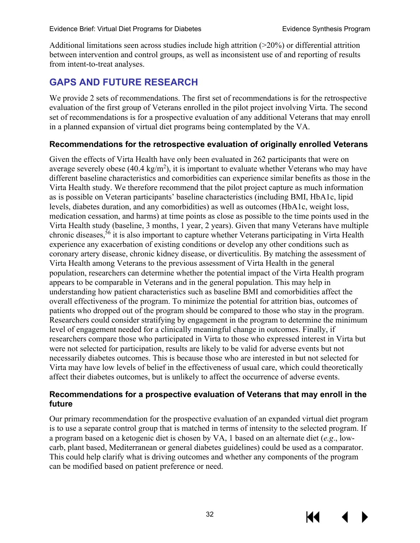Additional limitations seen across studies include high attrition (>20%) or differential attrition between intervention and control groups, as well as inconsistent use of and reporting of results from intent-to-treat analyses.

# <span id="page-35-0"></span>**GAPS AND FUTURE RESEARCH**

We provide 2 sets of recommendations. The first set of recommendations is for the retrospective evaluation of the first group of Veterans enrolled in the pilot project involving Virta. The second set of recommendations is for a prospective evaluation of any additional Veterans that may enroll in a planned expansion of virtual diet programs being contemplated by the VA.

#### **Recommendations for the retrospective evaluation of originally enrolled Veterans**

Given the effects of Virta Health have only been evaluated in 262 participants that were on average severely obese (40.4 kg/m<sup>2</sup>), it is important to evaluate whether Veterans who may have different baseline characteristics and comorbidities can experience similar benefits as those in the Virta Health study. We therefore recommend that the pilot project capture as much information as is possible on Veteran participants' baseline characteristics (including BMI, HbA1c, lipid levels, diabetes duration, and any comorbidities) as well as outcomes (HbA1c, weight loss, medication cessation, and harms) at time points as close as possible to the time points used in the Virta Health study (baseline, 3 months, 1 year, 2 years). Given that many Veterans have multiple chronic diseases, [56](#page-42-13) it is also important to capture whether Veterans participating in Virta Health experience any exacerbation of existing conditions or develop any other conditions such as coronary artery disease, chronic kidney disease, or diverticulitis. By matching the assessment of Virta Health among Veterans to the previous assessment of Virta Health in the general population, researchers can determine whether the potential impact of the Virta Health program appears to be comparable in Veterans and in the general population. This may help in understanding how patient characteristics such as baseline BMI and comorbidities affect the overall effectiveness of the program. To minimize the potential for attrition bias, outcomes of patients who dropped out of the program should be compared to those who stay in the program. Researchers could consider stratifying by engagement in the program to determine the minimum level of engagement needed for a clinically meaningful change in outcomes. Finally, if researchers compare those who participated in Virta to those who expressed interest in Virta but were not selected for participation, results are likely to be valid for adverse events but not necessarily diabetes outcomes. This is because those who are interested in but not selected for Virta may have low levels of belief in the effectiveness of usual care, which could theoretically affect their diabetes outcomes, but is unlikely to affect the occurrence of adverse events.

#### **Recommendations for a prospective evaluation of Veterans that may enroll in the future**

Our primary recommendation for the prospective evaluation of an expanded virtual diet program is to use a separate control group that is matched in terms of intensity to the selected program. If a program based on a ketogenic diet is chosen by VA, 1 based on an alternate diet (*e.g*., lowcarb, plant based, Mediterranean or general diabetes guidelines) could be used as a comparator. This could help clarify what is driving outcomes and whether any components of the program can be modified based on patient preference or need.

KK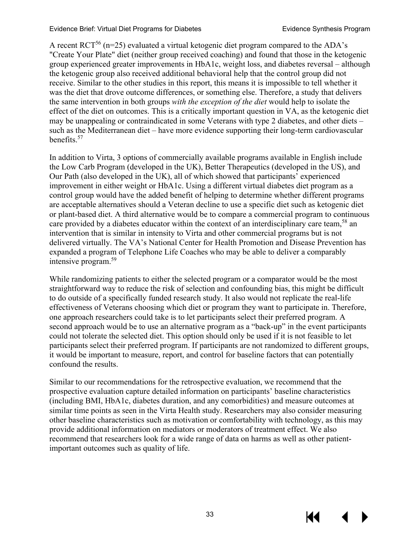A recent  $\text{RCT}^{56}$  (n=25) evaluated a virtual ketogenic diet program compared to the ADA's "Create Your Plate" diet (neither group received coaching) and found that those in the ketogenic group experienced greater improvements in HbA1c, weight loss, and diabetes reversal – although the ketogenic group also received additional behavioral help that the control group did not receive. Similar to the other studies in this report, this means it is impossible to tell whether it was the diet that drove outcome differences, or something else. Therefore, a study that delivers the same intervention in both groups *with the exception of the diet* would help to isolate the effect of the diet on outcomes. This is a critically important question in VA, as the ketogenic diet may be unappealing or contraindicated in some Veterans with type 2 diabetes, and other diets – such as the Mediterranean diet – have more evidence supporting their long-term cardiovascular benefits[.57](#page-42-14) 

In addition to Virta, 3 options of commercially available programs available in English include the Low Carb Program (developed in the UK), Better Therapeutics (developed in the US), and Our Path (also developed in the UK), all of which showed that participants' experienced improvement in either weight or HbA1c. Using a different virtual diabetes diet program as a control group would have the added benefit of helping to determine whether different programs are acceptable alternatives should a Veteran decline to use a specific diet such as ketogenic diet or plant-based diet. A third alternative would be to compare a commercial program to continuous care provided by a diabetes educator within the context of an interdisciplinary care team,<sup>[58](#page-42-15)</sup> an intervention that is similar in intensity to Virta and other commercial programs but is not delivered virtually. The VA's National Center for Health Promotion and Disease Prevention has expanded a program of Telephone Life Coaches who may be able to deliver a comparably intensive program. [59](#page-42-16)

While randomizing patients to either the selected program or a comparator would be the most straightforward way to reduce the risk of selection and confounding bias, this might be difficult to do outside of a specifically funded research study. It also would not replicate the real-life effectiveness of Veterans choosing which diet or program they want to participate in. Therefore, one approach researchers could take is to let participants select their preferred program. A second approach would be to use an alternative program as a "back-up" in the event participants could not tolerate the selected diet. This option should only be used if it is not feasible to let participants select their preferred program. If participants are not randomized to different groups, it would be important to measure, report, and control for baseline factors that can potentially confound the results.

Similar to our recommendations for the retrospective evaluation, we recommend that the prospective evaluation capture detailed information on participants' baseline characteristics (including BMI, HbA1c, diabetes duration, and any comorbidities) and measure outcomes at similar time points as seen in the Virta Health study. Researchers may also consider measuring other baseline characteristics such as motivation or comfortability with technology, as this may provide additional information on mediators or moderators of treatment effect. We also recommend that researchers look for a wide range of data on harms as well as other patientimportant outcomes such as quality of life.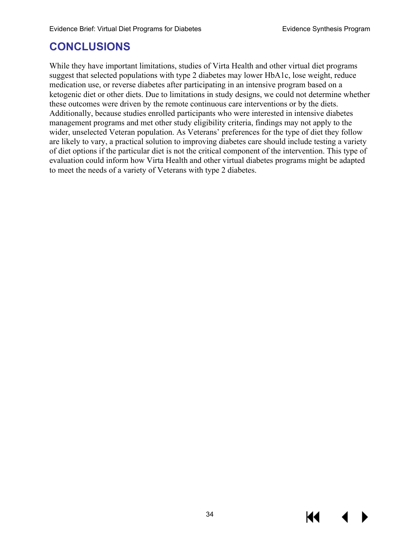# <span id="page-37-0"></span>**CONCLUSIONS**

While they have important limitations, studies of Virta Health and other virtual diet programs suggest that selected populations with type 2 diabetes may lower HbA1c, lose weight, reduce medication use, or reverse diabetes after participating in an intensive program based on a ketogenic diet or other diets. Due to limitations in study designs, we could not determine whether these outcomes were driven by the remote continuous care interventions or by the diets. Additionally, because studies enrolled participants who were interested in intensive diabetes management programs and met other study eligibility criteria, findings may not apply to the wider, unselected Veteran population. As Veterans' preferences for the type of diet they follow are likely to vary, a practical solution to improving diabetes care should include testing a variety of diet options if the particular diet is not the critical component of the intervention. This type of evaluation could inform how Virta Health and other virtual diabetes programs might be adapted to meet the needs of a variety of Veterans with type 2 diabetes.

К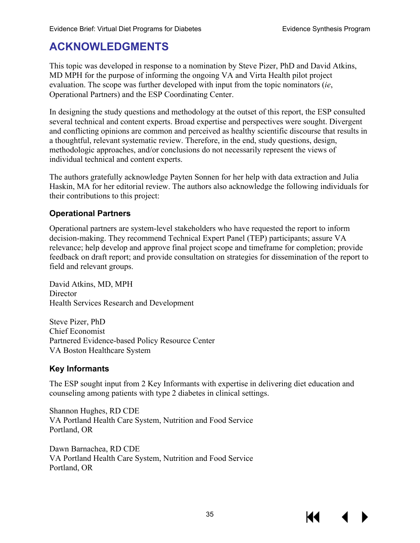# <span id="page-38-0"></span>**ACKNOWLEDGMENTS**

This topic was developed in response to a nomination by Steve Pizer, PhD and David Atkins, MD MPH for the purpose of informing the ongoing VA and Virta Health pilot project evaluation. The scope was further developed with input from the topic nominators (*ie*, Operational Partners) and the ESP Coordinating Center.

In designing the study questions and methodology at the outset of this report, the ESP consulted several technical and content experts. Broad expertise and perspectives were sought. Divergent and conflicting opinions are common and perceived as healthy scientific discourse that results in a thoughtful, relevant systematic review. Therefore, in the end, study questions, design, methodologic approaches, and/or conclusions do not necessarily represent the views of individual technical and content experts.

The authors gratefully acknowledge Payten Sonnen for her help with data extraction and Julia Haskin, MA for her editorial review. The authors also acknowledge the following individuals for their contributions to this project:

#### <span id="page-38-1"></span>**Operational Partners**

Operational partners are system-level stakeholders who have requested the report to inform decision-making. They recommend Technical Expert Panel (TEP) participants; assure VA relevance; help develop and approve final project scope and timeframe for completion; provide feedback on draft report; and provide consultation on strategies for dissemination of the report to field and relevant groups.

David Atkins, MD, MPH **Director** Health Services Research and Development

Steve Pizer, PhD Chief Economist Partnered Evidence-based Policy Resource Center VA Boston Healthcare System

#### <span id="page-38-2"></span>**Key Informants**

The ESP sought input from 2 Key Informants with expertise in delivering diet education and counseling among patients with type 2 diabetes in clinical settings.

Shannon Hughes, RD CDE VA Portland Health Care System, Nutrition and Food Service Portland, OR

Dawn Barnachea, RD CDE VA Portland Health Care System, Nutrition and Food Service Portland, OR

К1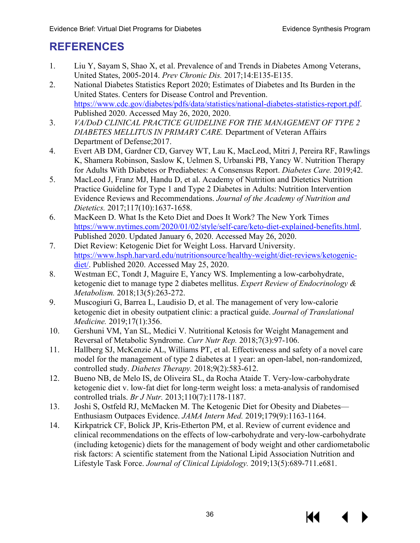# <span id="page-39-0"></span>**REFERENCES**

- <span id="page-39-1"></span>1. Liu Y, Sayam S, Shao X, et al. Prevalence of and Trends in Diabetes Among Veterans, United States, 2005-2014. *Prev Chronic Dis.* 2017;14:E135-E135.
- <span id="page-39-2"></span>2. National Diabetes Statistics Report 2020; Estimates of Diabetes and Its Burden in the United States. Centers for Disease Control and Prevention. [https://www.cdc.gov/diabetes/pdfs/data/statistics/national-diabetes-statistics-report.pdf.](https://www.cdc.gov/diabetes/pdfs/data/statistics/national-diabetes-statistics-report.pdf) Published 2020. Accessed May 26, 2020, 2020.
- <span id="page-39-3"></span>3. *VA/DoD CLINICAL PRACTICE GUIDELINE FOR THE MANAGEMENT OF TYPE 2 DIABETES MELLITUS IN PRIMARY CARE.* Department of Veteran Affairs Department of Defense;2017.
- <span id="page-39-4"></span>4. Evert AB DM, Gardner CD, Garvey WT, Lau K, MacLeod, Mitri J, Pereira RF, Rawlings K, Shamera Robinson, Saslow K, Uelmen S, Urbanski PB, Yancy W. Nutrition Therapy for Adults With Diabetes or Prediabetes: A Consensus Report. *Diabetes Care.* 2019;42.
- <span id="page-39-5"></span>5. MacLeod J, Franz MJ, Handu D, et al. Academy of Nutrition and Dietetics Nutrition Practice Guideline for Type 1 and Type 2 Diabetes in Adults: Nutrition Intervention Evidence Reviews and Recommendations. *Journal of the Academy of Nutrition and Dietetics.* 2017;117(10):1637-1658.
- <span id="page-39-15"></span><span id="page-39-6"></span>6. MacKeen D. What Is the Keto Diet and Does It Work? The New York Times [https://www.nytimes.com/2020/01/02/style/self-care/keto-diet-explained-benefits.html.](https://www.nytimes.com/2020/01/02/style/self-care/keto-diet-explained-benefits.html) Published 2020. Updated January 6, 2020. Accessed May 26, 2020.
- <span id="page-39-7"></span>7. Diet Review: Ketogenic Diet for Weight Loss. Harvard University. [https://www.hsph.harvard.edu/nutritionsource/healthy-weight/diet-reviews/ketogenic](https://www.hsph.harvard.edu/nutritionsource/healthy-weight/diet-reviews/ketogenic-diet/)[diet/.](https://www.hsph.harvard.edu/nutritionsource/healthy-weight/diet-reviews/ketogenic-diet/) Published 2020. Accessed May 25, 2020.
- <span id="page-39-8"></span>8. Westman EC, Tondt J, Maguire E, Yancy WS. Implementing a low-carbohydrate, ketogenic diet to manage type 2 diabetes mellitus. *Expert Review of Endocrinology & Metabolism.* 2018;13(5):263-272.
- <span id="page-39-9"></span>9. Muscogiuri G, Barrea L, Laudisio D, et al. The management of very low-calorie ketogenic diet in obesity outpatient clinic: a practical guide. *Journal of Translational Medicine.* 2019;17(1):356.
- <span id="page-39-10"></span>10. Gershuni VM, Yan SL, Medici V. Nutritional Ketosis for Weight Management and Reversal of Metabolic Syndrome. *Curr Nutr Rep.* 2018;7(3):97-106.
- <span id="page-39-11"></span>11. Hallberg SJ, McKenzie AL, Williams PT, et al. Effectiveness and safety of a novel care model for the management of type 2 diabetes at 1 year: an open-label, non-randomized, controlled study. *Diabetes Therapy.* 2018;9(2):583-612.
- <span id="page-39-12"></span>12. Bueno NB, de Melo IS, de Oliveira SL, da Rocha Ataide T. Very-low-carbohydrate ketogenic diet v. low-fat diet for long-term weight loss: a meta-analysis of randomised controlled trials. *Br J Nutr.* 2013;110(7):1178-1187.
- <span id="page-39-13"></span>13. Joshi S, Ostfeld RJ, McMacken M. The Ketogenic Diet for Obesity and Diabetes— Enthusiasm Outpaces Evidence. *JAMA Intern Med.* 2019;179(9):1163-1164.
- <span id="page-39-14"></span>14. Kirkpatrick CF, Bolick JP, Kris-Etherton PM, et al. Review of current evidence and clinical recommendations on the effects of low-carbohydrate and very-low-carbohydrate (including ketogenic) diets for the management of body weight and other cardiometabolic risk factors: A scientific statement from the National Lipid Association Nutrition and Lifestyle Task Force. *Journal of Clinical Lipidology.* 2019;13(5):689-711.e681.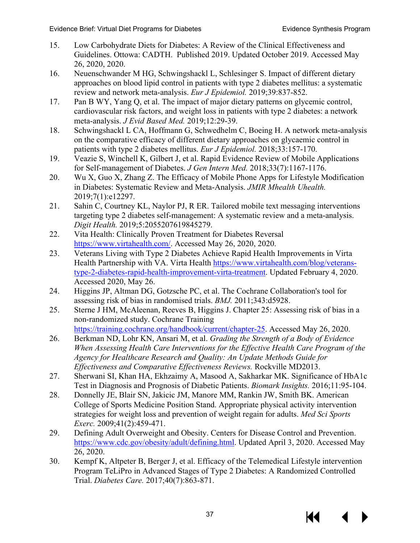- <span id="page-40-0"></span>15. Low Carbohydrate Diets for Diabetes: A Review of the Clinical Effectiveness and Guidelines. Ottowa: CADTH. Published 2019. Updated October 2019. Accessed May 26, 2020, 2020.
- <span id="page-40-1"></span>16. Neuenschwander M HG, Schwingshackl L, Schlesinger S. Impact of different dietary approaches on blood lipid control in patients with type 2 diabetes mellitus: a systematic review and network meta-analysis. *Eur J Epidemiol.* 2019;39:837-852.
- <span id="page-40-2"></span>17. Pan B WY, Yang Q, et al. The impact of major dietary patterns on glycemic control, cardiovascular risk factors, and weight loss in patients with type 2 diabetes: a network meta-analysis. *J Evid Based Med.* 2019;12:29-39.
- <span id="page-40-3"></span>18. Schwingshackl L CA, Hoffmann G, Schwedhelm C, Boeing H. A network meta-analysis on the comparative efficacy of different dietary approaches on glycaemic control in patients with type 2 diabetes mellitus. *Eur J Epidemiol.* 2018;33:157-170.
- <span id="page-40-4"></span>19. Veazie S, Winchell K, Gilbert J, et al. Rapid Evidence Review of Mobile Applications for Self-management of Diabetes. *J Gen Intern Med.* 2018;33(7):1167-1176.
- 20. Wu X, Guo X, Zhang Z. The Efficacy of Mobile Phone Apps for Lifestyle Modification in Diabetes: Systematic Review and Meta-Analysis. *JMIR Mhealth Uhealth.*  2019;7(1):e12297.
- 21. Sahin C, Courtney KL, Naylor PJ, R ER. Tailored mobile text messaging interventions targeting type 2 diabetes self-management: A systematic review and a meta-analysis. *Digit Health.* 2019;5:2055207619845279.
- <span id="page-40-5"></span>22. Vita Health: Clinically Proven Treatment for Diabetes Reversal [https://www.virtahealth.com/.](https://www.virtahealth.com/) Accessed May 26, 2020, 2020.
- <span id="page-40-6"></span>23. Veterans Living with Type 2 Diabetes Achieve Rapid Health Improvements in Virta Health Partnership with VA. Virta Health [https://www.virtahealth.com/blog/veterans](https://www.virtahealth.com/blog/veterans-type-2-diabetes-rapid-health-improvement-virta-treatment)[type-2-diabetes-rapid-health-improvement-virta-treatment.](https://www.virtahealth.com/blog/veterans-type-2-diabetes-rapid-health-improvement-virta-treatment) Updated February 4, 2020. Accessed 2020, May 26.
- <span id="page-40-7"></span>24. Higgins JP, Altman DG, Gotzsche PC, et al. The Cochrane Collaboration's tool for assessing risk of bias in randomised trials. *BMJ.* 2011;343:d5928.
- <span id="page-40-8"></span>25. Sterne J HM, McAleenan, Reeves B, Higgins J. Chapter 25: Assessing risk of bias in a non-randomized study. Cochrane Training [https://training.cochrane.org/handbook/current/chapter-25.](https://training.cochrane.org/handbook/current/chapter-25) Accessed May 26, 2020.
- <span id="page-40-9"></span>26. Berkman ND, Lohr KN, Ansari M, et al. *Grading the Strength of a Body of Evidence When Assessing Health Care Interventions for the Effective Health Care Program of the Agency for Healthcare Research and Quality: An Update Methods Guide for Effectiveness and Comparative Effectiveness Reviews.* Rockville MD2013.
- <span id="page-40-10"></span>27. Sherwani SI, Khan HA, Ekhzaimy A, Masood A, Sakharkar MK. Significance of HbA1c Test in Diagnosis and Prognosis of Diabetic Patients. *Biomark Insights.* 2016;11:95-104.
- <span id="page-40-11"></span>28. Donnelly JE, Blair SN, Jakicic JM, Manore MM, Rankin JW, Smith BK. American College of Sports Medicine Position Stand. Appropriate physical activity intervention strategies for weight loss and prevention of weight regain for adults. *Med Sci Sports Exerc.* 2009;41(2):459-471.
- <span id="page-40-12"></span>29. Defining Adult Overweight and Obesity. Centers for Disease Control and Prevention. [https://www.cdc.gov/obesity/adult/defining.html.](https://www.cdc.gov/obesity/adult/defining.html) Updated April 3, 2020. Accessed May 26, 2020.
- <span id="page-40-13"></span>30. Kempf K, Altpeter B, Berger J, et al. Efficacy of the Telemedical Lifestyle intervention Program TeLiPro in Advanced Stages of Type 2 Diabetes: A Randomized Controlled Trial. *Diabetes Care.* 2017;40(7):863-871.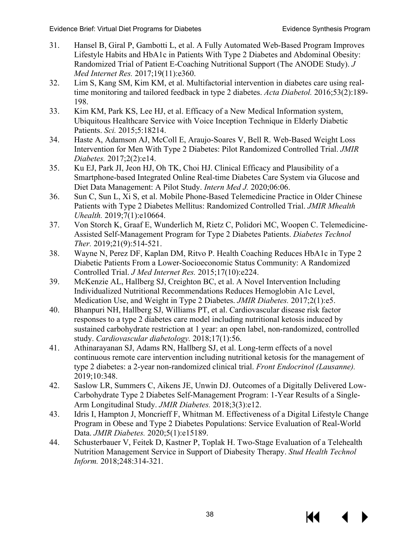- <span id="page-41-15"></span><span id="page-41-13"></span><span id="page-41-12"></span><span id="page-41-11"></span><span id="page-41-4"></span>31. Hansel B, Giral P, Gambotti L, et al. A Fully Automated Web-Based Program Improves Lifestyle Habits and HbA1c in Patients With Type 2 Diabetes and Abdominal Obesity: Randomized Trial of Patient E-Coaching Nutritional Support (The ANODE Study). *J Med Internet Res.* 2017;19(11):e360.
- <span id="page-41-17"></span><span id="page-41-2"></span>32. Lim S, Kang SM, Kim KM, et al. Multifactorial intervention in diabetes care using realtime monitoring and tailored feedback in type 2 diabetes. *Acta Diabetol.* 2016;53(2):189- 198.
- <span id="page-41-18"></span><span id="page-41-3"></span>33. Kim KM, Park KS, Lee HJ, et al. Efficacy of a New Medical Information system, Ubiquitous Healthcare Service with Voice Inception Technique in Elderly Diabetic Patients. *Sci.* 2015;5:18214.
- <span id="page-41-16"></span><span id="page-41-6"></span>34. Haste A, Adamson AJ, McColl E, Araujo-Soares V, Bell R. Web-Based Weight Loss Intervention for Men With Type 2 Diabetes: Pilot Randomized Controlled Trial. *JMIR Diabetes.* 2017;2(2):e14.
- <span id="page-41-10"></span><span id="page-41-7"></span>35. Ku EJ, Park JI, Jeon HJ, Oh TK, Choi HJ. Clinical Efficacy and Plausibility of a Smartphone-based Integrated Online Real-time Diabetes Care System via Glucose and Diet Data Management: A Pilot Study. *Intern Med J.* 2020;06:06.
- <span id="page-41-9"></span>36. Sun C, Sun L, Xi S, et al. Mobile Phone-Based Telemedicine Practice in Older Chinese Patients with Type 2 Diabetes Mellitus: Randomized Controlled Trial. *JMIR Mhealth Uhealth.* 2019;7(1):e10664.
- <span id="page-41-23"></span>37. Von Storch K, Graaf E, Wunderlich M, Rietz C, Polidori MC, Woopen C. Telemedicine-Assisted Self-Management Program for Type 2 Diabetes Patients. *Diabetes Technol Ther.* 2019;21(9):514-521.
- <span id="page-41-22"></span>38. Wayne N, Perez DF, Kaplan DM, Ritvo P. Health Coaching Reduces HbA1c in Type 2 Diabetic Patients From a Lower-Socioeconomic Status Community: A Randomized Controlled Trial. *J Med Internet Res.* 2015;17(10):e224.
- <span id="page-41-14"></span><span id="page-41-0"></span>39. McKenzie AL, Hallberg SJ, Creighton BC, et al. A Novel Intervention Including Individualized Nutritional Recommendations Reduces Hemoglobin A1c Level, Medication Use, and Weight in Type 2 Diabetes. *JMIR Diabetes.* 2017;2(1):e5.
- <span id="page-41-20"></span><span id="page-41-19"></span>40. Bhanpuri NH, Hallberg SJ, Williams PT, et al. Cardiovascular disease risk factor responses to a type 2 diabetes care model including nutritional ketosis induced by sustained carbohydrate restriction at 1 year: an open label, non-randomized, controlled study. *Cardiovascular diabetology.* 2018;17(1):56.
- <span id="page-41-21"></span>41. Athinarayanan SJ, Adams RN, Hallberg SJ, et al. Long-term effects of a novel continuous remote care intervention including nutritional ketosis for the management of type 2 diabetes: a 2-year non-randomized clinical trial. *Front Endocrinol (Lausanne).*  2019;10:348.
- <span id="page-41-1"></span>42. Saslow LR, Summers C, Aikens JE, Unwin DJ. Outcomes of a Digitally Delivered Low-Carbohydrate Type 2 Diabetes Self-Management Program: 1-Year Results of a Single-Arm Longitudinal Study. *JMIR Diabetes.* 2018;3(3):e12.
- <span id="page-41-5"></span>43. Idris I, Hampton J, Moncrieff F, Whitman M. Effectiveness of a Digital Lifestyle Change Program in Obese and Type 2 Diabetes Populations: Service Evaluation of Real-World Data. *JMIR Diabetes.* 2020;5(1):e15189.
- <span id="page-41-8"></span>44. Schusterbauer V, Feitek D, Kastner P, Toplak H. Two-Stage Evaluation of a Telehealth Nutrition Management Service in Support of Diabesity Therapy. *Stud Health Technol Inform.* 2018;248:314-321.

KK